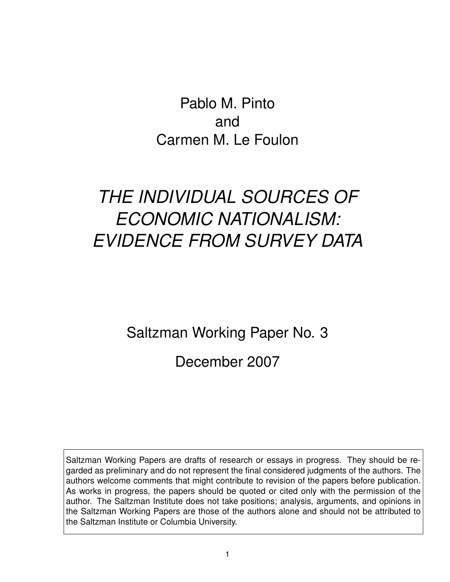Pablo M. Pinto and Carmen M. Le Foulon

# *THE INDIVIDUAL SOURCES OF ECONOMIC NATIONALISM: EVIDENCE FROM SURVEY DATA*

Saltzman Working Paper No. 3

December 2007

Saltzman Working Papers are drafts of research or essays in progress. They should be regarded as preliminary and do not represent the final considered judgments of the authors. The authors welcome comments that might contribute to revision of the papers before publication. As works in progress, the papers should be quoted or cited only with the permission of the author. The Saltzman Institute does not take positions; analysis, arguments, and opinions in the Saltzman Working Papers are those of the authors alone and should not be attributed to the Saltzman Institute or Columbia University.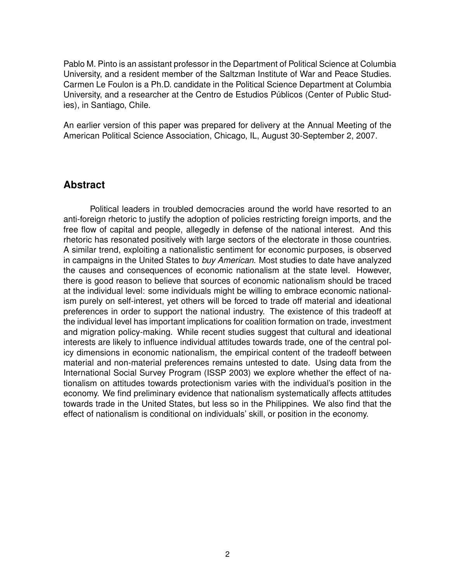Pablo M. Pinto is an assistant professor in the Department of Political Science at Columbia University, and a resident member of the Saltzman Institute of War and Peace Studies. Carmen Le Foulon is a Ph.D. candidate in the Political Science Department at Columbia University, and a researcher at the Centro de Estudios Públicos (Center of Public Studies), in Santiago, Chile.

An earlier version of this paper was prepared for delivery at the Annual Meeting of the American Political Science Association, Chicago, IL, August 30-September 2, 2007.

# **Abstract**

Political leaders in troubled democracies around the world have resorted to an anti-foreign rhetoric to justify the adoption of policies restricting foreign imports, and the free flow of capital and people, allegedly in defense of the national interest. And this rhetoric has resonated positively with large sectors of the electorate in those countries. A similar trend, exploiting a nationalistic sentiment for economic purposes, is observed in campaigns in the United States to *buy American*. Most studies to date have analyzed the causes and consequences of economic nationalism at the state level. However, there is good reason to believe that sources of economic nationalism should be traced at the individual level: some individuals might be willing to embrace economic nationalism purely on self-interest, yet others will be forced to trade off material and ideational preferences in order to support the national industry. The existence of this tradeoff at the individual level has important implications for coalition formation on trade, investment and migration policy-making. While recent studies suggest that cultural and ideational interests are likely to influence individual attitudes towards trade, one of the central policy dimensions in economic nationalism, the empirical content of the tradeoff between material and non-material preferences remains untested to date. Using data from the International Social Survey Program (ISSP 2003) we explore whether the effect of nationalism on attitudes towards protectionism varies with the individual's position in the economy. We find preliminary evidence that nationalism systematically affects attitudes towards trade in the United States, but less so in the Philippines. We also find that the effect of nationalism is conditional on individuals' skill, or position in the economy.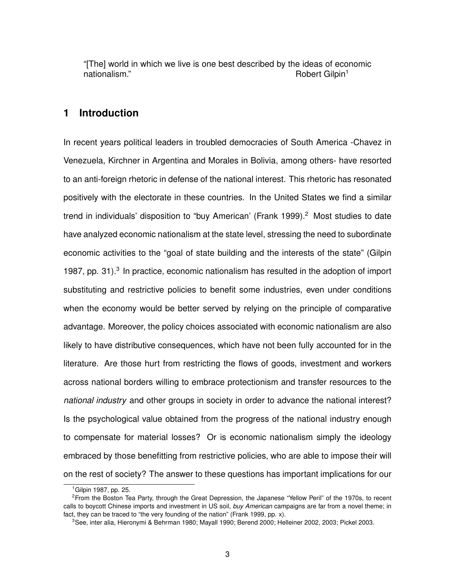"[The] world in which we live is one best described by the ideas of economic nationalism." The contract of the contract of the contract of the contract of the contract of the contract of the contract of the contract of the contract of the contract of the contract of the contract of the contract of

# **1 Introduction**

In recent years political leaders in troubled democracies of South America -Chavez in Venezuela, Kirchner in Argentina and Morales in Bolivia, among others- have resorted to an anti-foreign rhetoric in defense of the national interest. This rhetoric has resonated positively with the electorate in these countries. In the United States we find a similar trend in individuals' disposition to "buy American' (Frank 1999).<sup>2</sup> Most studies to date have analyzed economic nationalism at the state level, stressing the need to subordinate economic activities to the "goal of state building and the interests of the state" (Gilpin 1987, pp. 31).<sup>3</sup> In practice, economic nationalism has resulted in the adoption of import substituting and restrictive policies to benefit some industries, even under conditions when the economy would be better served by relying on the principle of comparative advantage. Moreover, the policy choices associated with economic nationalism are also likely to have distributive consequences, which have not been fully accounted for in the literature. Are those hurt from restricting the flows of goods, investment and workers across national borders willing to embrace protectionism and transfer resources to the *national industry* and other groups in society in order to advance the national interest? Is the psychological value obtained from the progress of the national industry enough to compensate for material losses? Or is economic nationalism simply the ideology embraced by those benefitting from restrictive policies, who are able to impose their will on the rest of society? The answer to these questions has important implications for our

<sup>1</sup>Gilpin 1987, pp. 25.

<sup>2</sup>From the Boston Tea Party, through the Great Depression, the Japanese "Yellow Peril" of the 1970s, to recent calls to boycott Chinese imports and investment in US soil, *buy American* campaigns are far from a novel theme; in fact, they can be traced to "the very founding of the nation" (Frank 1999, pp. x).

<sup>3</sup>See, inter alia, Hieronymi & Behrman 1980; Mayall 1990; Berend 2000; Helleiner 2002, 2003; Pickel 2003.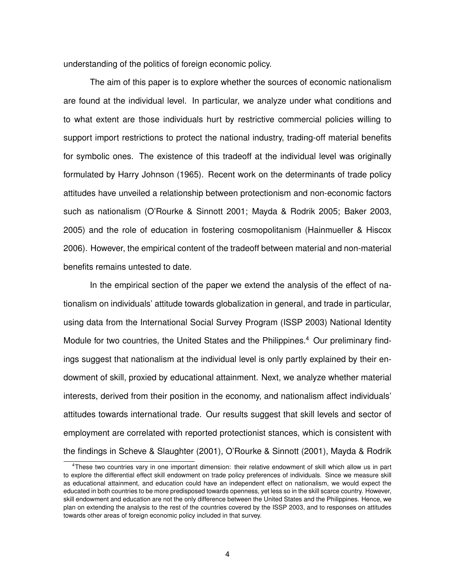understanding of the politics of foreign economic policy.

The aim of this paper is to explore whether the sources of economic nationalism are found at the individual level. In particular, we analyze under what conditions and to what extent are those individuals hurt by restrictive commercial policies willing to support import restrictions to protect the national industry, trading-off material benefits for symbolic ones. The existence of this tradeoff at the individual level was originally formulated by Harry Johnson (1965). Recent work on the determinants of trade policy attitudes have unveiled a relationship between protectionism and non-economic factors such as nationalism (O'Rourke & Sinnott 2001; Mayda & Rodrik 2005; Baker 2003, 2005) and the role of education in fostering cosmopolitanism (Hainmueller & Hiscox 2006). However, the empirical content of the tradeoff between material and non-material benefits remains untested to date.

In the empirical section of the paper we extend the analysis of the effect of nationalism on individuals' attitude towards globalization in general, and trade in particular, using data from the International Social Survey Program (ISSP 2003) National Identity Module for two countries, the United States and the Philippines.<sup>4</sup> Our preliminary findings suggest that nationalism at the individual level is only partly explained by their endowment of skill, proxied by educational attainment. Next, we analyze whether material interests, derived from their position in the economy, and nationalism affect individuals' attitudes towards international trade. Our results suggest that skill levels and sector of employment are correlated with reported protectionist stances, which is consistent with the findings in Scheve & Slaughter (2001), O'Rourke & Sinnott (2001), Mayda & Rodrik

<sup>4</sup>These two countries vary in one important dimension: their relative endowment of skill which allow us in part to explore the differential effect skill endowment on trade policy preferences of individuals. Since we measure skill as educational attainment, and education could have an independent effect on nationalism, we would expect the educated in both countries to be more predisposed towards openness, yet less so in the skill scarce country. However, skill endowment and education are not the only difference between the United States and the Philippines. Hence, we plan on extending the analysis to the rest of the countries covered by the ISSP 2003, and to responses on attitudes towards other areas of foreign economic policy included in that survey.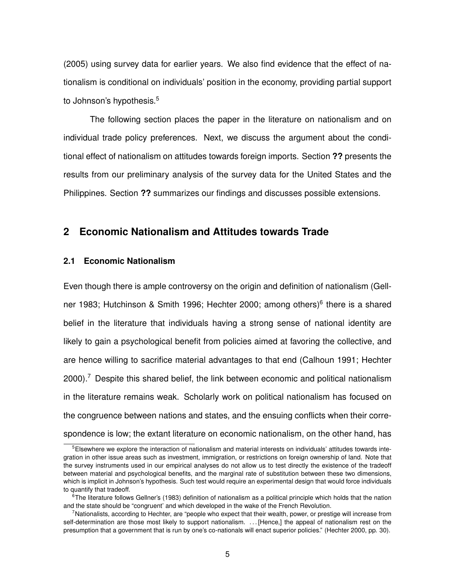(2005) using survey data for earlier years. We also find evidence that the effect of nationalism is conditional on individuals' position in the economy, providing partial support to Johnson's hypothesis.<sup>5</sup>

The following section places the paper in the literature on nationalism and on individual trade policy preferences. Next, we discuss the argument about the conditional effect of nationalism on attitudes towards foreign imports. Section **??** presents the results from our preliminary analysis of the survey data for the United States and the Philippines. Section **??** summarizes our findings and discusses possible extensions.

# **2 Economic Nationalism and Attitudes towards Trade**

## **2.1 Economic Nationalism**

Even though there is ample controversy on the origin and definition of nationalism (Gellner 1983; Hutchinson & Smith 1996; Hechter 2000; among others)<sup>6</sup> there is a shared belief in the literature that individuals having a strong sense of national identity are likely to gain a psychological benefit from policies aimed at favoring the collective, and are hence willing to sacrifice material advantages to that end (Calhoun 1991; Hechter 2000).<sup>7</sup> Despite this shared belief, the link between economic and political nationalism in the literature remains weak. Scholarly work on political nationalism has focused on the congruence between nations and states, and the ensuing conflicts when their correspondence is low; the extant literature on economic nationalism, on the other hand, has

<sup>5</sup>Elsewhere we explore the interaction of nationalism and material interests on individuals' attitudes towards integration in other issue areas such as investment, immigration, or restrictions on foreign ownership of land. Note that the survey instruments used in our empirical analyses do not allow us to test directly the existence of the tradeoff between material and psychological benefits, and the marginal rate of substitution between these two dimensions, which is implicit in Johnson's hypothesis. Such test would require an experimental design that would force individuals to quantify that tradeoff.

 $6$ The literature follows Gellner's (1983) definition of nationalism as a political principle which holds that the nation and the state should be "congruent' and which developed in the wake of the French Revolution.

<sup>7</sup>Nationalists, according to Hechter, are "people who expect that their wealth, power, or prestige will increase from self-determination are those most likely to support nationalism. ... [Hence,] the appeal of nationalism rest on the presumption that a government that is run by one's co-nationals will enact superior policies." (Hechter 2000, pp. 30).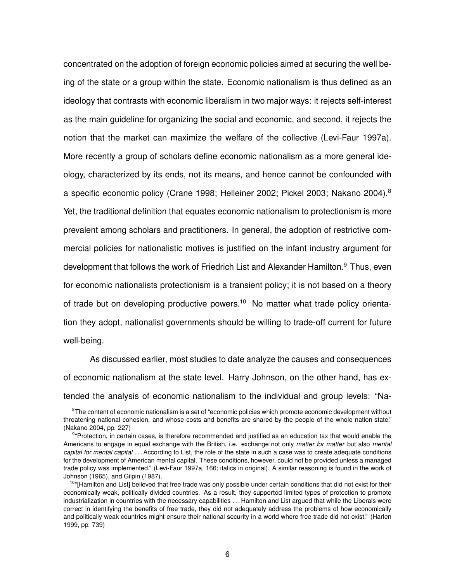concentrated on the adoption of foreign economic policies aimed at securing the well being of the state or a group within the state. Economic nationalism is thus defined as an ideology that contrasts with economic liberalism in two major ways: it rejects self-interest as the main guideline for organizing the social and economic, and second, it rejects the notion that the market can maximize the welfare of the collective (Levi-Faur 1997a). More recently a group of scholars define economic nationalism as a more general ideology, characterized by its ends, not its means, and hence cannot be confounded with a specific economic policy (Crane 1998; Helleiner 2002; Pickel 2003; Nakano 2004).<sup>8</sup> Yet, the traditional definition that equates economic nationalism to protectionism is more prevalent among scholars and practitioners. In general, the adoption of restrictive commercial policies for nationalistic motives is justified on the infant industry argument for development that follows the work of Friedrich List and Alexander Hamilton.<sup>9</sup> Thus, even for economic nationalists protectionism is a transient policy; it is not based on a theory of trade but on developing productive powers.<sup>10</sup> No matter what trade policy orientation they adopt, nationalist governments should be willing to trade-off current for future well-being.

As discussed earlier, most studies to date analyze the causes and consequences of economic nationalism at the state level. Harry Johnson, on the other hand, has extended the analysis of economic nationalism to the individual and group levels: "Na-

<sup>&</sup>lt;sup>8</sup>The content of economic nationalism is a set of "economic policies which promote economic development without threatening national cohesion, and whose costs and benefits are shared by the people of the whole nation-state." (Nakano 2004, pp. 227)

<sup>&</sup>lt;sup>9</sup>"Protection, in certain cases, is therefore recommended and justified as an education tax that would enable the Americans to engage in equal exchange with the British, i.e. exchange not only *matter for matter* but also *mental capital for mental capital* . . . According to List, the role of the state in such a case was to create adequate conditions for the development of American mental capital. These conditions, however, could not be provided unless a managed trade policy was implemented." (Levi-Faur 1997a, 166; italics in original). A similar reasoning is found in the work of Johnson (1965), and Gilpin (1987).

<sup>&</sup>lt;sup>10</sup>"[Hamilton and List] believed that free trade was only possible under certain conditions that did not exist for their economically weak, politically divided countries. As a result, they supported limited types of protection to promote industrialization in countries with the necessary capabilities . . . Hamilton and List argued that while the Liberals were correct in identifying the benefits of free trade, they did not adequately address the problems of how economically and politically weak countries might ensure their national security in a world where free trade did not exist." (Harlen 1999, pp. 739)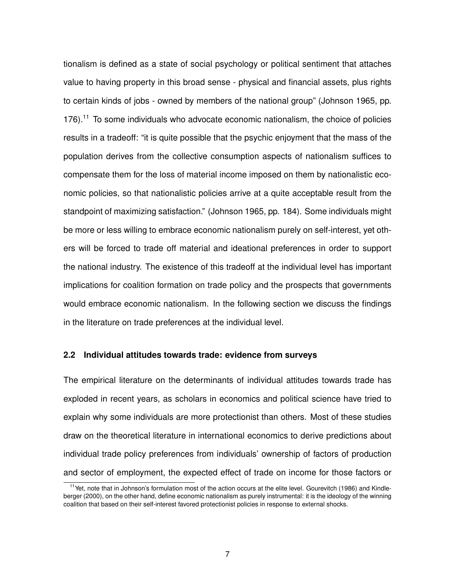tionalism is defined as a state of social psychology or political sentiment that attaches value to having property in this broad sense - physical and financial assets, plus rights to certain kinds of jobs - owned by members of the national group" (Johnson 1965, pp.  $176$ ).<sup>11</sup> To some individuals who advocate economic nationalism, the choice of policies results in a tradeoff: "it is quite possible that the psychic enjoyment that the mass of the population derives from the collective consumption aspects of nationalism suffices to compensate them for the loss of material income imposed on them by nationalistic economic policies, so that nationalistic policies arrive at a quite acceptable result from the standpoint of maximizing satisfaction." (Johnson 1965, pp. 184). Some individuals might be more or less willing to embrace economic nationalism purely on self-interest, yet others will be forced to trade off material and ideational preferences in order to support the national industry. The existence of this tradeoff at the individual level has important implications for coalition formation on trade policy and the prospects that governments would embrace economic nationalism. In the following section we discuss the findings in the literature on trade preferences at the individual level.

#### **2.2 Individual attitudes towards trade: evidence from surveys**

The empirical literature on the determinants of individual attitudes towards trade has exploded in recent years, as scholars in economics and political science have tried to explain why some individuals are more protectionist than others. Most of these studies draw on the theoretical literature in international economics to derive predictions about individual trade policy preferences from individuals' ownership of factors of production and sector of employment, the expected effect of trade on income for those factors or

<sup>&</sup>lt;sup>11</sup>Yet, note that in Johnson's formulation most of the action occurs at the elite level. Gourevitch (1986) and Kindleberger (2000), on the other hand, define economic nationalism as purely instrumental: it is the ideology of the winning coalition that based on their self-interest favored protectionist policies in response to external shocks.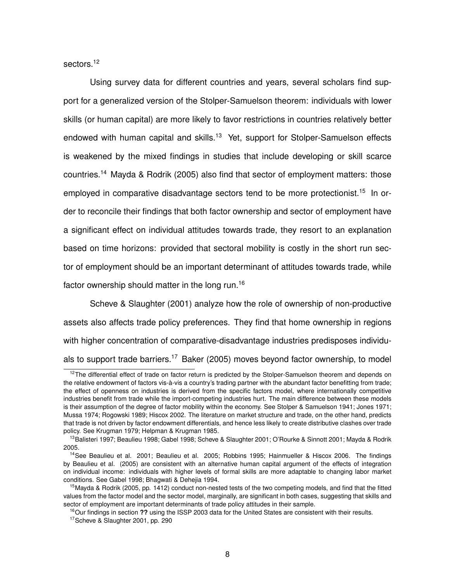sectors.<sup>12</sup>

Using survey data for different countries and years, several scholars find support for a generalized version of the Stolper-Samuelson theorem: individuals with lower skills (or human capital) are more likely to favor restrictions in countries relatively better endowed with human capital and skills.<sup>13</sup> Yet, support for Stolper-Samuelson effects is weakened by the mixed findings in studies that include developing or skill scarce countries.<sup>14</sup> Mayda & Rodrik (2005) also find that sector of employment matters: those employed in comparative disadvantage sectors tend to be more protectionist.<sup>15</sup> In order to reconcile their findings that both factor ownership and sector of employment have a significant effect on individual attitudes towards trade, they resort to an explanation based on time horizons: provided that sectoral mobility is costly in the short run sector of employment should be an important determinant of attitudes towards trade, while factor ownership should matter in the long run.<sup>16</sup>

Scheve & Slaughter (2001) analyze how the role of ownership of non-productive assets also affects trade policy preferences. They find that home ownership in regions with higher concentration of comparative-disadvantage industries predisposes individuals to support trade barriers.<sup>17</sup> Baker (2005) moves beyond factor ownership, to model

<sup>&</sup>lt;sup>12</sup>The differential effect of trade on factor return is predicted by the Stolper-Samuelson theorem and depends on the relative endowment of factors vis-à-vis a country's trading partner with the abundant factor benefitting from trade; the effect of openness on industries is derived from the specific factors model, where internationally competitive industries benefit from trade while the import-competing industries hurt. The main difference between these models is their assumption of the degree of factor mobility within the economy. See Stolper & Samuelson 1941; Jones 1971; Mussa 1974; Rogowski 1989; Hiscox 2002. The literature on market structure and trade, on the other hand, predicts that trade is not driven by factor endowment differentials, and hence less likely to create distributive clashes over trade policy. See Krugman 1979; Helpman & Krugman 1985.

<sup>&</sup>lt;sup>13</sup>Balisteri 1997; Beaulieu 1998; Gabel 1998; Scheve & Slaughter 2001; O'Rourke & Sinnott 2001; Mayda & Rodrik 2005.

<sup>&</sup>lt;sup>14</sup> See Beaulieu et al. 2001; Beaulieu et al. 2005; Robbins 1995; Hainmueller & Hiscox 2006. The findings by Beaulieu et al. (2005) are consistent with an alternative human capital argument of the effects of integration on individual income: individuals with higher levels of formal skills are more adaptable to changing labor market conditions. See Gabel 1998; Bhagwati & Dehejia 1994.

<sup>&</sup>lt;sup>15</sup>Mayda & Rodrik (2005, pp. 1412) conduct non-nested tests of the two competing models, and find that the fitted values from the factor model and the sector model, marginally, are significant in both cases, suggesting that skills and sector of employment are important determinants of trade policy attitudes in their sample.

<sup>&</sup>lt;sup>16</sup>Our findings in section ?? using the ISSP 2003 data for the United States are consistent with their results.

<sup>&</sup>lt;sup>17</sup>Scheve & Slaughter 2001, pp. 290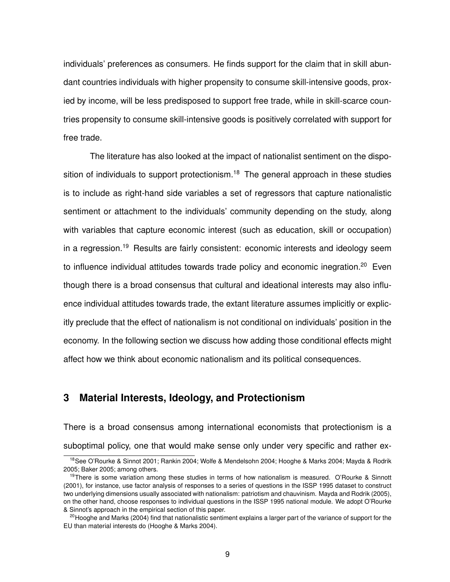individuals' preferences as consumers. He finds support for the claim that in skill abundant countries individuals with higher propensity to consume skill-intensive goods, proxied by income, will be less predisposed to support free trade, while in skill-scarce countries propensity to consume skill-intensive goods is positively correlated with support for free trade.

The literature has also looked at the impact of nationalist sentiment on the disposition of individuals to support protectionism.<sup>18</sup> The general approach in these studies is to include as right-hand side variables a set of regressors that capture nationalistic sentiment or attachment to the individuals' community depending on the study, along with variables that capture economic interest (such as education, skill or occupation) in a regression.<sup>19</sup> Results are fairly consistent: economic interests and ideology seem to influence individual attitudes towards trade policy and economic inegration.<sup>20</sup> Even though there is a broad consensus that cultural and ideational interests may also influence individual attitudes towards trade, the extant literature assumes implicitly or explicitly preclude that the effect of nationalism is not conditional on individuals' position in the economy. In the following section we discuss how adding those conditional effects might affect how we think about economic nationalism and its political consequences.

# **3 Material Interests, Ideology, and Protectionism**

There is a broad consensus among international economists that protectionism is a suboptimal policy, one that would make sense only under very specific and rather ex-

<sup>&</sup>lt;sup>18</sup>See O'Rourke & Sinnot 2001; Rankin 2004; Wolfe & Mendelsohn 2004; Hooghe & Marks 2004; Mayda & Rodrik 2005; Baker 2005; among others.

<sup>&</sup>lt;sup>19</sup>There is some variation among these studies in terms of how nationalism is measured. O'Rourke & Sinnott (2001), for instance, use factor analysis of responses to a series of questions in the ISSP 1995 dataset to construct two underlying dimensions usually associated with nationalism: patriotism and chauvinism. Mayda and Rodrik (2005), on the other hand, choose responses to individual questions in the ISSP 1995 national module. We adopt O'Rourke & Sinnot's approach in the empirical section of this paper.

 $^{20}$ Hooghe and Marks (2004) find that nationalistic sentiment explains a larger part of the variance of support for the EU than material interests do (Hooghe & Marks 2004).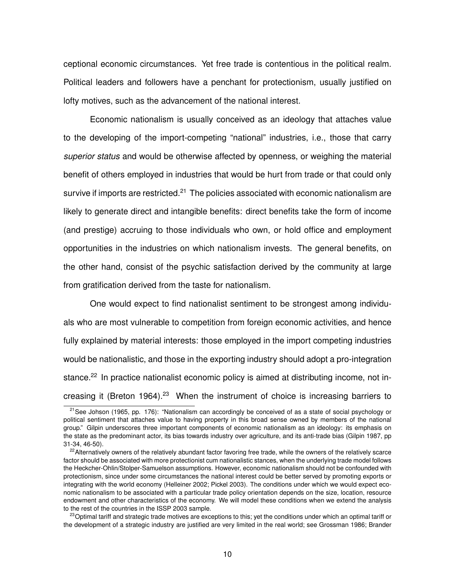ceptional economic circumstances. Yet free trade is contentious in the political realm. Political leaders and followers have a penchant for protectionism, usually justified on lofty motives, such as the advancement of the national interest.

Economic nationalism is usually conceived as an ideology that attaches value to the developing of the import-competing "national" industries, i.e., those that carry *superior status* and would be otherwise affected by openness, or weighing the material benefit of others employed in industries that would be hurt from trade or that could only survive if imports are restricted.<sup>21</sup> The policies associated with economic nationalism are likely to generate direct and intangible benefits: direct benefits take the form of income (and prestige) accruing to those individuals who own, or hold office and employment opportunities in the industries on which nationalism invests. The general benefits, on the other hand, consist of the psychic satisfaction derived by the community at large from gratification derived from the taste for nationalism.

One would expect to find nationalist sentiment to be strongest among individuals who are most vulnerable to competition from foreign economic activities, and hence fully explained by material interests: those employed in the import competing industries would be nationalistic, and those in the exporting industry should adopt a pro-integration stance.<sup>22</sup> In practice nationalist economic policy is aimed at distributing income, not increasing it (Breton 1964).<sup>23</sup> When the instrument of choice is increasing barriers to

 $21$ See Johson (1965, pp. 176): "Nationalism can accordingly be conceived of as a state of social psychology or political sentiment that attaches value to having property in this broad sense owned by members of the national group." Gilpin underscores three important components of economic nationalism as an ideology: its emphasis on the state as the predominant actor, its bias towards industry over agriculture, and its anti-trade bias (Gilpin 1987, pp 31-34, 46-50).

 $22$ Alternatively owners of the relatively abundant factor favoring free trade, while the owners of the relatively scarce factor should be associated with more protectionist cum nationalistic stances, when the underlying trade model follows the Heckcher-Ohlin/Stolper-Samuelson assumptions. However, economic nationalism should not be confounded with protectionism, since under some circumstances the national interest could be better served by promoting exports or integrating with the world economy (Helleiner 2002; Pickel 2003). The conditions under which we would expect economic nationalism to be associated with a particular trade policy orientation depends on the size, location, resource endowment and other characteristics of the economy. We will model these conditions when we extend the analysis to the rest of the countries in the ISSP 2003 sample.

 $^{23}$ Optimal tariff and strategic trade motives are exceptions to this; yet the conditions under which an optimal tariff or the development of a strategic industry are justified are very limited in the real world; see Grossman 1986; Brander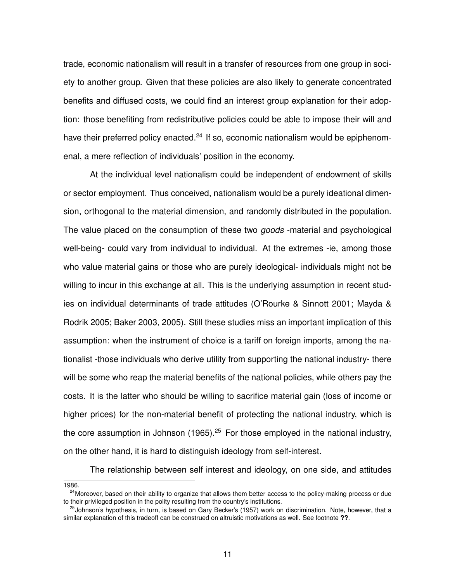trade, economic nationalism will result in a transfer of resources from one group in society to another group. Given that these policies are also likely to generate concentrated benefits and diffused costs, we could find an interest group explanation for their adoption: those benefiting from redistributive policies could be able to impose their will and have their preferred policy enacted.<sup>24</sup> If so, economic nationalism would be epiphenomenal, a mere reflection of individuals' position in the economy.

At the individual level nationalism could be independent of endowment of skills or sector employment. Thus conceived, nationalism would be a purely ideational dimension, orthogonal to the material dimension, and randomly distributed in the population. The value placed on the consumption of these two *goods* -material and psychological well-being- could vary from individual to individual. At the extremes -ie, among those who value material gains or those who are purely ideological- individuals might not be willing to incur in this exchange at all. This is the underlying assumption in recent studies on individual determinants of trade attitudes (O'Rourke & Sinnott 2001; Mayda & Rodrik 2005; Baker 2003, 2005). Still these studies miss an important implication of this assumption: when the instrument of choice is a tariff on foreign imports, among the nationalist -those individuals who derive utility from supporting the national industry- there will be some who reap the material benefits of the national policies, while others pay the costs. It is the latter who should be willing to sacrifice material gain (loss of income or higher prices) for the non-material benefit of protecting the national industry, which is the core assumption in Johnson (1965).<sup>25</sup> For those employed in the national industry, on the other hand, it is hard to distinguish ideology from self-interest.

The relationship between self interest and ideology, on one side, and attitudes

<sup>1986.</sup>

<sup>&</sup>lt;sup>24</sup>Moreover, based on their ability to organize that allows them better access to the policy-making process or due to their privileged position in the polity resulting from the country's institutions.

<sup>&</sup>lt;sup>25</sup>Johnson's hypothesis, in turn, is based on Gary Becker's (1957) work on discrimination. Note, however, that a similar explanation of this tradeoff can be construed on altruistic motivations as well. See footnote **??**.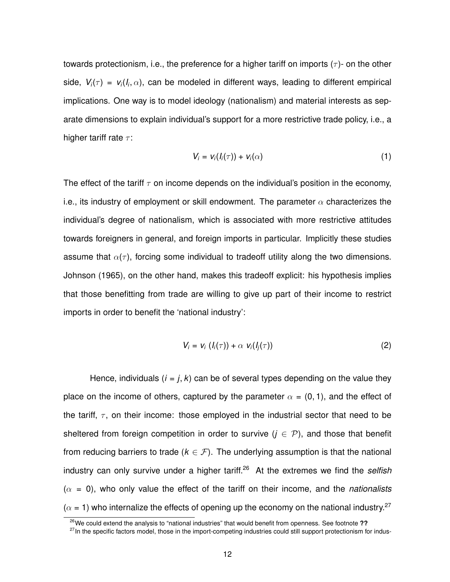towards protectionism, i.e., the preference for a higher tariff on imports  $(\tau)$ - on the other side,  $V_i(\tau)$  =  $v_i(I_i,\alpha)$ , can be modeled in different ways, leading to different empirical implications. One way is to model ideology (nationalism) and material interests as separate dimensions to explain individual's support for a more restrictive trade policy, i.e., a higher tariff rate  $\tau$ :

$$
V_i = v_i(I_i(\tau)) + v_i(\alpha) \tag{1}
$$

The effect of the tariff  $\tau$  on income depends on the individual's position in the economy, i.e., its industry of employment or skill endowment. The parameter  $\alpha$  characterizes the individual's degree of nationalism, which is associated with more restrictive attitudes towards foreigners in general, and foreign imports in particular. Implicitly these studies assume that  $\alpha(\tau)$ , forcing some individual to tradeoff utility along the two dimensions. Johnson (1965), on the other hand, makes this tradeoff explicit: his hypothesis implies that those benefitting from trade are willing to give up part of their income to restrict imports in order to benefit the 'national industry':

$$
V_i = v_i (I_i(\tau)) + \alpha v_i(I_j(\tau))
$$
\n(2)

Hence, individuals  $(i = j, k)$  can be of several types depending on the value they place on the income of others, captured by the parameter  $\alpha = (0, 1)$ , and the effect of the tariff,  $\tau$ , on their income: those employed in the industrial sector that need to be sheltered from foreign competition in order to survive  $(j \in \mathcal{P})$ , and those that benefit from reducing barriers to trade ( $k \in \mathcal{F}$ ). The underlying assumption is that the national industry can only survive under a higher tariff.<sup>26</sup> At the extremes we find the *selfish*  $(\alpha = 0)$ , who only value the effect of the tariff on their income, and the *nationalists*  $(\alpha = 1)$  who internalize the effects of opening up the economy on the national industry.<sup>27</sup>

<sup>26</sup>We could extend the analysis to "national industries" that would benefit from openness. See footnote **??**

<sup>&</sup>lt;sup>27</sup>In the specific factors model, those in the import-competing industries could still support protectionism for indus-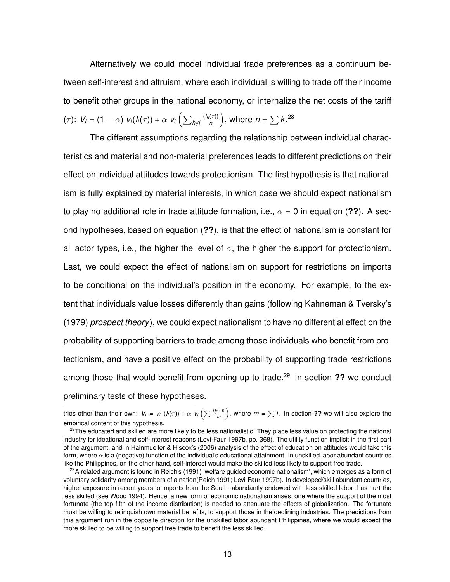Alternatively we could model individual trade preferences as a continuum between self-interest and altruism, where each individual is willing to trade off their income to benefit other groups in the national economy, or internalize the net costs of the tariff  $(\tau)$ :  $V_i = (1 - \alpha) v_i(I_i(\tau)) + \alpha v_i \left( \sum_{h \neq i} \frac{(I_h(\tau))}{n} \right)$  $\binom{\pi}{n}$ , where  $n = \sum k.^{28}$ 

The different assumptions regarding the relationship between individual characteristics and material and non-material preferences leads to different predictions on their effect on individual attitudes towards protectionism. The first hypothesis is that nationalism is fully explained by material interests, in which case we should expect nationalism to play no additional role in trade attitude formation, i.e.,  $\alpha = 0$  in equation (??). A second hypotheses, based on equation (**??**), is that the effect of nationalism is constant for all actor types, i.e., the higher the level of  $\alpha$ , the higher the support for protectionism. Last, we could expect the effect of nationalism on support for restrictions on imports to be conditional on the individual's position in the economy. For example, to the extent that individuals value losses differently than gains (following Kahneman & Tversky's (1979) *prospect theory*), we could expect nationalism to have no differential effect on the probability of supporting barriers to trade among those individuals who benefit from protectionism, and have a positive effect on the probability of supporting trade restrictions among those that would benefit from opening up to trade.<sup>29</sup> In section **??** we conduct preliminary tests of these hypotheses.

tries other than their own:  $V_i = V_i (I_i(\tau)) + \alpha V_i (\sum \frac{(I_j(\tau))}{m}$  $\frac{f(\tau)}{m}$ , where  $m = \sum i$ . In section **??** we will also explore the empirical content of this hypothesis.

<sup>&</sup>lt;sup>28</sup>The educated and skilled are more likely to be less nationalistic. They place less value on protecting the national industry for ideational and self-interest reasons (Levi-Faur 1997b, pp. 368). The utility function implicit in the first part of the argument, and in Hainmueller & Hiscox's (2006) analysis of the effect of education on attitudes would take this form, where  $\alpha$  is a (negative) function of the individual's educational attainment. In unskilled labor abundant countries like the Philippines, on the other hand, self-interest would make the skilled less likely to support free trade.

 $29A$  related argument is found in Reich's (1991) 'welfare guided economic nationalism', which emerges as a form of voluntary solidarity among members of a nation(Reich 1991; Levi-Faur 1997b). In developed/skill abundant countries, higher exposure in recent years to imports from the South -abundantly endowed with less-skilled labor- has hurt the less skilled (see Wood 1994). Hence, a new form of economic nationalism arises; one where the support of the most fortunate (the top fifth of the income distribution) is needed to attenuate the effects of globalization. The fortunate must be willing to relinquish own material benefits, to support those in the declining industries. The predictions from this argument run in the opposite direction for the unskilled labor abundant Philippines, where we would expect the more skilled to be willing to support free trade to benefit the less skilled.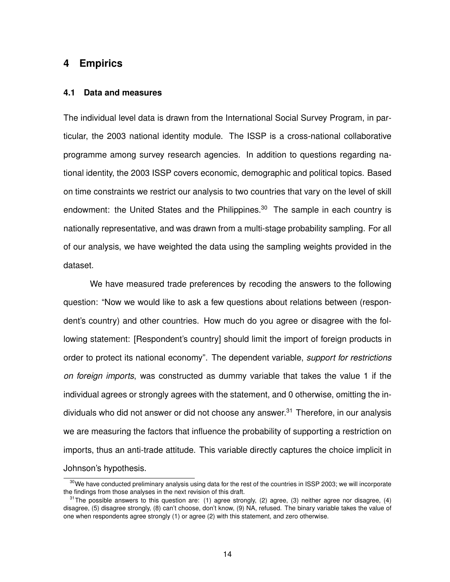# **4 Empirics**

#### **4.1 Data and measures**

The individual level data is drawn from the International Social Survey Program, in particular, the 2003 national identity module. The ISSP is a cross-national collaborative programme among survey research agencies. In addition to questions regarding national identity, the 2003 ISSP covers economic, demographic and political topics. Based on time constraints we restrict our analysis to two countries that vary on the level of skill endowment: the United States and the Philippines.<sup>30</sup> The sample in each country is nationally representative, and was drawn from a multi-stage probability sampling. For all of our analysis, we have weighted the data using the sampling weights provided in the dataset.

We have measured trade preferences by recoding the answers to the following question: "Now we would like to ask a few questions about relations between (respondent's country) and other countries. How much do you agree or disagree with the following statement: [Respondent's country] should limit the import of foreign products in order to protect its national economy". The dependent variable, *support for restrictions on foreign imports*, was constructed as dummy variable that takes the value 1 if the individual agrees or strongly agrees with the statement, and 0 otherwise, omitting the individuals who did not answer or did not choose any answer. $31$  Therefore, in our analysis we are measuring the factors that influence the probability of supporting a restriction on imports, thus an anti-trade attitude. This variable directly captures the choice implicit in Johnson's hypothesis.

<sup>&</sup>lt;sup>30</sup>We have conducted preliminary analysis using data for the rest of the countries in ISSP 2003; we will incorporate the findings from those analyses in the next revision of this draft.

 $31$ The possible answers to this question are: (1) agree strongly, (2) agree, (3) neither agree nor disagree, (4) disagree, (5) disagree strongly, (8) can't choose, don't know, (9) NA, refused. The binary variable takes the value of one when respondents agree strongly (1) or agree (2) with this statement, and zero otherwise.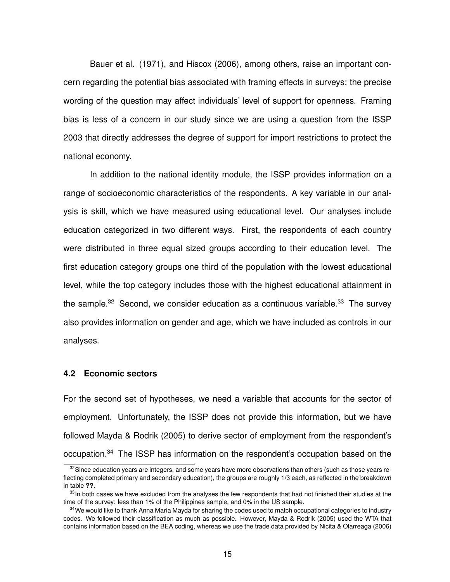Bauer et al. (1971), and Hiscox (2006), among others, raise an important concern regarding the potential bias associated with framing effects in surveys: the precise wording of the question may affect individuals' level of support for openness. Framing bias is less of a concern in our study since we are using a question from the ISSP 2003 that directly addresses the degree of support for import restrictions to protect the national economy.

In addition to the national identity module, the ISSP provides information on a range of socioeconomic characteristics of the respondents. A key variable in our analysis is skill, which we have measured using educational level. Our analyses include education categorized in two different ways. First, the respondents of each country were distributed in three equal sized groups according to their education level. The first education category groups one third of the population with the lowest educational level, while the top category includes those with the highest educational attainment in the sample.<sup>32</sup> Second, we consider education as a continuous variable.<sup>33</sup> The survey also provides information on gender and age, which we have included as controls in our analyses.

## **4.2 Economic sectors**

For the second set of hypotheses, we need a variable that accounts for the sector of employment. Unfortunately, the ISSP does not provide this information, but we have followed Mayda & Rodrik (2005) to derive sector of employment from the respondent's occupation.<sup>34</sup> The ISSP has information on the respondent's occupation based on the

<sup>&</sup>lt;sup>32</sup> Since education vears are integers, and some years have more observations than others (such as those years reflecting completed primary and secondary education), the groups are roughly 1/3 each, as reflected in the breakdown in table **??**.

 $33$ In both cases we have excluded from the analyses the few respondents that had not finished their studies at the time of the survey: less than 1% of the Philippines sample, and 0% in the US sample.

<sup>&</sup>lt;sup>34</sup>We would like to thank Anna Maria Mayda for sharing the codes used to match occupational categories to industry codes. We followed their classification as much as possible. However, Mayda & Rodrik (2005) used the WTA that contains information based on the BEA coding, whereas we use the trade data provided by Nicita & Olarreaga (2006)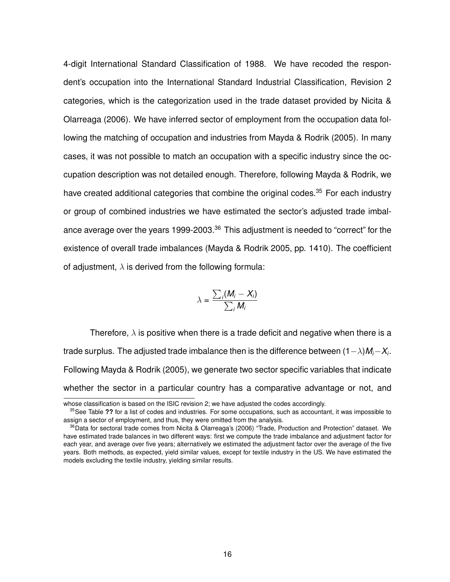4-digit International Standard Classification of 1988. We have recoded the respondent's occupation into the International Standard Industrial Classification, Revision 2 categories, which is the categorization used in the trade dataset provided by Nicita & Olarreaga (2006). We have inferred sector of employment from the occupation data following the matching of occupation and industries from Mayda & Rodrik (2005). In many cases, it was not possible to match an occupation with a specific industry since the occupation description was not detailed enough. Therefore, following Mayda & Rodrik, we have created additional categories that combine the original codes.<sup>35</sup> For each industry or group of combined industries we have estimated the sector's adjusted trade imbalance average over the years 1999-2003.<sup>36</sup> This adjustment is needed to "correct" for the existence of overall trade imbalances (Mayda & Rodrik 2005, pp. 1410). The coefficient of adjustment,  $\lambda$  is derived from the following formula:

$$
\lambda = \frac{\sum_i (M_i - X_i)}{\sum_i M_i}
$$

Therefore,  $\lambda$  is positive when there is a trade deficit and negative when there is a trade surplus. The adjusted trade imbalance then is the difference between (1−λ)*Mi*−*X<sup>i</sup>* . Following Mayda & Rodrik (2005), we generate two sector specific variables that indicate whether the sector in a particular country has a comparative advantage or not, and

whose classification is based on the ISIC revision 2; we have adjusted the codes accordingly.

<sup>&</sup>lt;sup>35</sup>See Table ?? for a list of codes and industries. For some occupations, such as accountant, it was impossible to assign a sector of employment, and thus, they were omitted from the analysis.

<sup>&</sup>lt;sup>36</sup>Data for sectoral trade comes from Nicita & Olarreaga's (2006) "Trade, Production and Protection" dataset. We have estimated trade balances in two different ways: first we compute the trade imbalance and adjustment factor for each year, and average over five years; alternatively we estimated the adjustment factor over the average of the five years. Both methods, as expected, yield similar values, except for textile industry in the US. We have estimated the models excluding the textile industry, yielding similar results.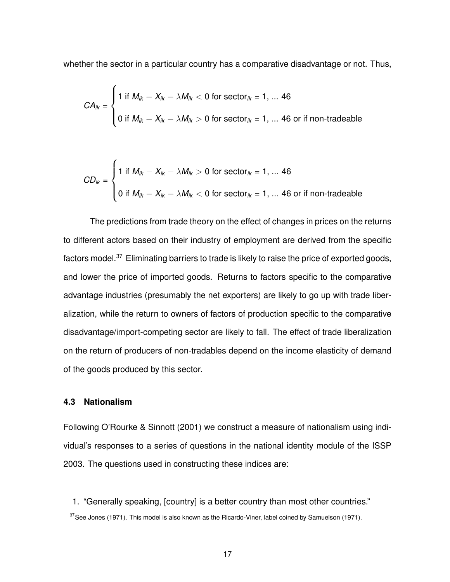whether the sector in a particular country has a comparative disadvantage or not. Thus,

$$
CA_{ik} = \begin{cases} 1 \text{ if } M_{ik} - X_{ik} - \lambda M_{ik} < 0 \text{ for sector}_{ik} = 1, \dots 46 \\ 0 \text{ if } M_{ik} - X_{ik} - \lambda M_{ik} > 0 \text{ for sector}_{ik} = 1, \dots 46 \text{ or if non-tradeable} \end{cases}
$$

$$
CD_{ik} = \begin{cases} 1 \text{ if } M_{ik} - X_{ik} - \lambda M_{ik} > 0 \text{ for sector}_{ik} = 1, \dots 46 \\ 0 \text{ if } M_{ik} - X_{ik} - \lambda M_{ik} < 0 \text{ for sector}_{ik} = 1, \dots 46 \text{ or if non-tradeable} \end{cases}
$$

The predictions from trade theory on the effect of changes in prices on the returns to different actors based on their industry of employment are derived from the specific factors model.<sup>37</sup> Eliminating barriers to trade is likely to raise the price of exported goods, and lower the price of imported goods. Returns to factors specific to the comparative advantage industries (presumably the net exporters) are likely to go up with trade liberalization, while the return to owners of factors of production specific to the comparative disadvantage/import-competing sector are likely to fall. The effect of trade liberalization on the return of producers of non-tradables depend on the income elasticity of demand of the goods produced by this sector.

#### **4.3 Nationalism**

Following O'Rourke & Sinnott (2001) we construct a measure of nationalism using individual's responses to a series of questions in the national identity module of the ISSP 2003. The questions used in constructing these indices are:

1. "Generally speaking, [country] is a better country than most other countries."

 $37$  See Jones (1971). This model is also known as the Ricardo-Viner, label coined by Samuelson (1971).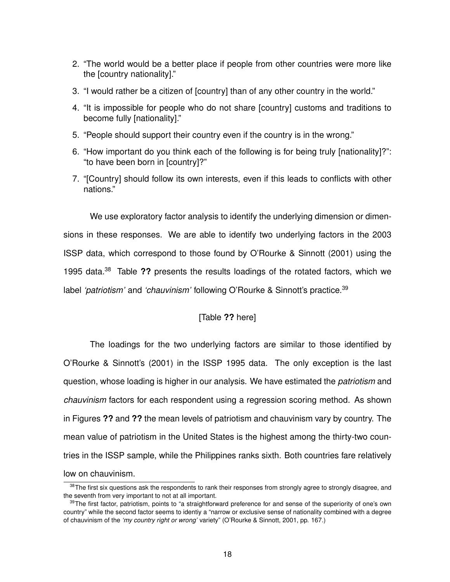- 2. "The world would be a better place if people from other countries were more like the [country nationality]."
- 3. "I would rather be a citizen of [country] than of any other country in the world."
- 4. "It is impossible for people who do not share [country] customs and traditions to become fully [nationality]."
- 5. "People should support their country even if the country is in the wrong."
- 6. "How important do you think each of the following is for being truly [nationality]?": "to have been born in [country]?"
- 7. "[Country] should follow its own interests, even if this leads to conflicts with other nations."

We use exploratory factor analysis to identify the underlying dimension or dimensions in these responses. We are able to identify two underlying factors in the 2003 ISSP data, which correspond to those found by O'Rourke & Sinnott (2001) using the 1995 data.<sup>38</sup> Table **??** presents the results loadings of the rotated factors, which we label 'patriotism' and 'chauvinism' following O'Rourke & Sinnott's practice.<sup>39</sup>

# [Table **??** here]

The loadings for the two underlying factors are similar to those identified by O'Rourke & Sinnott's (2001) in the ISSP 1995 data. The only exception is the last question, whose loading is higher in our analysis. We have estimated the *patriotism* and *chauvinism* factors for each respondent using a regression scoring method. As shown in Figures **??** and **??** the mean levels of patriotism and chauvinism vary by country. The mean value of patriotism in the United States is the highest among the thirty-two countries in the ISSP sample, while the Philippines ranks sixth. Both countries fare relatively low on chauvinism.

<sup>&</sup>lt;sup>38</sup>The first six questions ask the respondents to rank their responses from strongly agree to strongly disagree, and the seventh from very important to not at all important.

<sup>&</sup>lt;sup>39</sup>The first factor, patriotism, points to "a straightforward preference for and sense of the superiority of one's own country" while the second factor seems to identiy a "narrow or exclusive sense of nationality combined with a degree of chauvinism of the *'my country right or wrong'* variety" (O'Rourke & Sinnott, 2001, pp. 167.)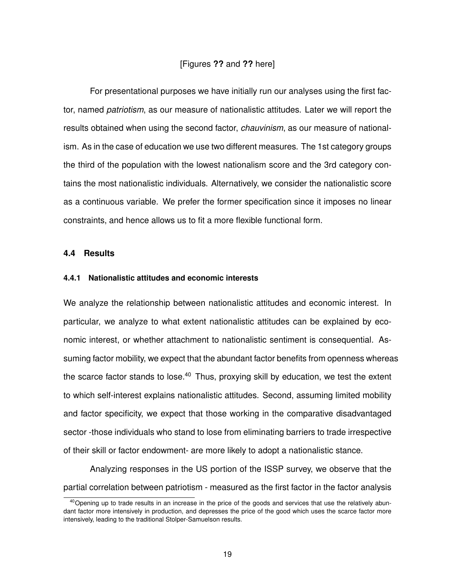## [Figures **??** and **??** here]

For presentational purposes we have initially run our analyses using the first factor, named *patriotism*, as our measure of nationalistic attitudes. Later we will report the results obtained when using the second factor, *chauvinism*, as our measure of nationalism. As in the case of education we use two different measures. The 1st category groups the third of the population with the lowest nationalism score and the 3rd category contains the most nationalistic individuals. Alternatively, we consider the nationalistic score as a continuous variable. We prefer the former specification since it imposes no linear constraints, and hence allows us to fit a more flexible functional form.

#### **4.4 Results**

#### **4.4.1 Nationalistic attitudes and economic interests**

We analyze the relationship between nationalistic attitudes and economic interest. In particular, we analyze to what extent nationalistic attitudes can be explained by economic interest, or whether attachment to nationalistic sentiment is consequential. Assuming factor mobility, we expect that the abundant factor benefits from openness whereas the scarce factor stands to lose.<sup>40</sup> Thus, proxying skill by education, we test the extent to which self-interest explains nationalistic attitudes. Second, assuming limited mobility and factor specificity, we expect that those working in the comparative disadvantaged sector -those individuals who stand to lose from eliminating barriers to trade irrespective of their skill or factor endowment- are more likely to adopt a nationalistic stance.

Analyzing responses in the US portion of the ISSP survey, we observe that the partial correlation between patriotism - measured as the first factor in the factor analysis

 $40$  Opening up to trade results in an increase in the price of the goods and services that use the relatively abundant factor more intensively in production, and depresses the price of the good which uses the scarce factor more intensively, leading to the traditional Stolper-Samuelson results.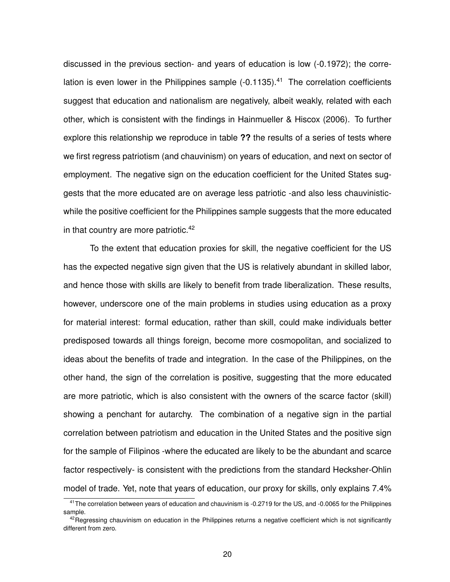discussed in the previous section- and years of education is low (-0.1972); the correlation is even lower in the Philippines sample  $(-0.1135)$ .<sup>41</sup> The correlation coefficients suggest that education and nationalism are negatively, albeit weakly, related with each other, which is consistent with the findings in Hainmueller & Hiscox (2006). To further explore this relationship we reproduce in table **??** the results of a series of tests where we first regress patriotism (and chauvinism) on years of education, and next on sector of employment. The negative sign on the education coefficient for the United States suggests that the more educated are on average less patriotic -and also less chauvinisticwhile the positive coefficient for the Philippines sample suggests that the more educated in that country are more patriotic.<sup>42</sup>

To the extent that education proxies for skill, the negative coefficient for the US has the expected negative sign given that the US is relatively abundant in skilled labor, and hence those with skills are likely to benefit from trade liberalization. These results, however, underscore one of the main problems in studies using education as a proxy for material interest: formal education, rather than skill, could make individuals better predisposed towards all things foreign, become more cosmopolitan, and socialized to ideas about the benefits of trade and integration. In the case of the Philippines, on the other hand, the sign of the correlation is positive, suggesting that the more educated are more patriotic, which is also consistent with the owners of the scarce factor (skill) showing a penchant for autarchy. The combination of a negative sign in the partial correlation between patriotism and education in the United States and the positive sign for the sample of Filipinos -where the educated are likely to be the abundant and scarce factor respectively- is consistent with the predictions from the standard Hecksher-Ohlin model of trade. Yet, note that years of education, our proxy for skills, only explains 7.4%

<sup>&</sup>lt;sup>41</sup>The correlation between years of education and chauvinism is -0.2719 for the US, and -0.0065 for the Philippines sample.

 $42$  Regressing chauvinism on education in the Philippines returns a negative coefficient which is not significantly different from zero.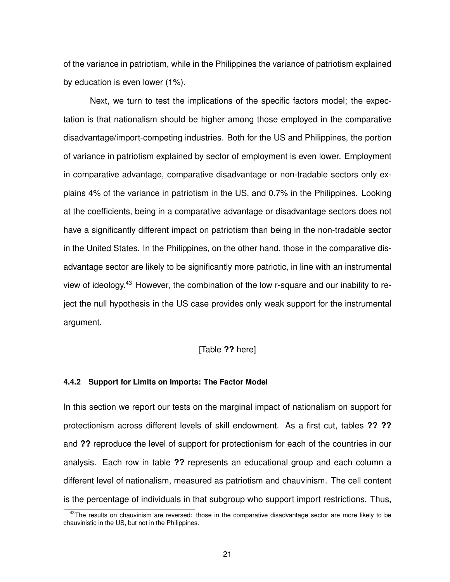of the variance in patriotism, while in the Philippines the variance of patriotism explained by education is even lower (1%).

Next, we turn to test the implications of the specific factors model; the expectation is that nationalism should be higher among those employed in the comparative disadvantage/import-competing industries. Both for the US and Philippines, the portion of variance in patriotism explained by sector of employment is even lower. Employment in comparative advantage, comparative disadvantage or non-tradable sectors only explains 4% of the variance in patriotism in the US, and 0.7% in the Philippines. Looking at the coefficients, being in a comparative advantage or disadvantage sectors does not have a significantly different impact on patriotism than being in the non-tradable sector in the United States. In the Philippines, on the other hand, those in the comparative disadvantage sector are likely to be significantly more patriotic, in line with an instrumental view of ideology.<sup>43</sup> However, the combination of the low r-square and our inability to reject the null hypothesis in the US case provides only weak support for the instrumental argument.

## [Table **??** here]

#### **4.4.2 Support for Limits on Imports: The Factor Model**

In this section we report our tests on the marginal impact of nationalism on support for protectionism across different levels of skill endowment. As a first cut, tables **?? ??** and **??** reproduce the level of support for protectionism for each of the countries in our analysis. Each row in table **??** represents an educational group and each column a different level of nationalism, measured as patriotism and chauvinism. The cell content is the percentage of individuals in that subgroup who support import restrictions. Thus,

 $43$ The results on chauvinism are reversed: those in the comparative disadvantage sector are more likely to be chauvinistic in the US, but not in the Philippines.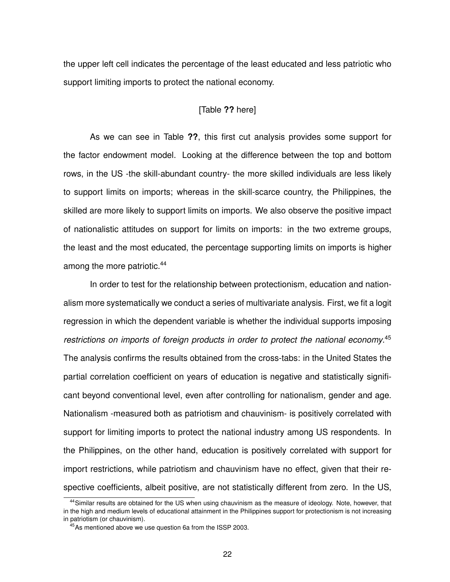the upper left cell indicates the percentage of the least educated and less patriotic who support limiting imports to protect the national economy.

#### [Table **??** here]

As we can see in Table **??**, this first cut analysis provides some support for the factor endowment model. Looking at the difference between the top and bottom rows, in the US -the skill-abundant country- the more skilled individuals are less likely to support limits on imports; whereas in the skill-scarce country, the Philippines, the skilled are more likely to support limits on imports. We also observe the positive impact of nationalistic attitudes on support for limits on imports: in the two extreme groups, the least and the most educated, the percentage supporting limits on imports is higher among the more patriotic.<sup>44</sup>

In order to test for the relationship between protectionism, education and nationalism more systematically we conduct a series of multivariate analysis. First, we fit a logit regression in which the dependent variable is whether the individual supports imposing *restrictions on imports of foreign products in order to protect the national economy*. 45 The analysis confirms the results obtained from the cross-tabs: in the United States the partial correlation coefficient on years of education is negative and statistically significant beyond conventional level, even after controlling for nationalism, gender and age. Nationalism -measured both as patriotism and chauvinism- is positively correlated with support for limiting imports to protect the national industry among US respondents. In the Philippines, on the other hand, education is positively correlated with support for import restrictions, while patriotism and chauvinism have no effect, given that their respective coefficients, albeit positive, are not statistically different from zero. In the US,

<sup>&</sup>lt;sup>44</sup>Similar results are obtained for the US when using chauvinism as the measure of ideology. Note, however, that in the high and medium levels of educational attainment in the Philippines support for protectionism is not increasing in patriotism (or chauvinism).

<sup>45</sup>As mentioned above we use question 6a from the ISSP 2003.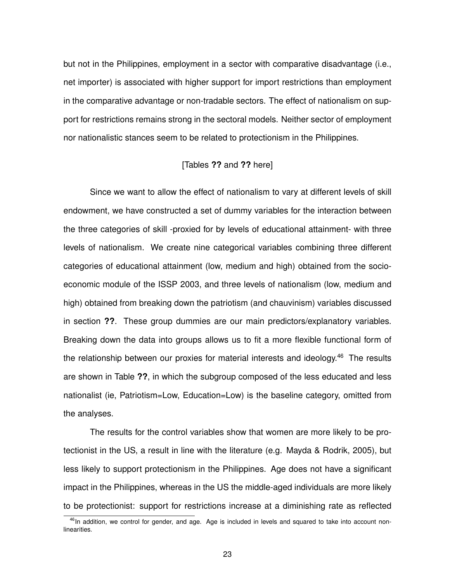but not in the Philippines, employment in a sector with comparative disadvantage (i.e., net importer) is associated with higher support for import restrictions than employment in the comparative advantage or non-tradable sectors. The effect of nationalism on support for restrictions remains strong in the sectoral models. Neither sector of employment nor nationalistic stances seem to be related to protectionism in the Philippines.

## [Tables **??** and **??** here]

Since we want to allow the effect of nationalism to vary at different levels of skill endowment, we have constructed a set of dummy variables for the interaction between the three categories of skill -proxied for by levels of educational attainment- with three levels of nationalism. We create nine categorical variables combining three different categories of educational attainment (low, medium and high) obtained from the socioeconomic module of the ISSP 2003, and three levels of nationalism (low, medium and high) obtained from breaking down the patriotism (and chauvinism) variables discussed in section **??**. These group dummies are our main predictors/explanatory variables. Breaking down the data into groups allows us to fit a more flexible functional form of the relationship between our proxies for material interests and ideology.<sup>46</sup> The results are shown in Table **??**, in which the subgroup composed of the less educated and less nationalist (ie, Patriotism=Low, Education=Low) is the baseline category, omitted from the analyses.

The results for the control variables show that women are more likely to be protectionist in the US, a result in line with the literature (e.g. Mayda & Rodrik, 2005), but less likely to support protectionism in the Philippines. Age does not have a significant impact in the Philippines, whereas in the US the middle-aged individuals are more likely to be protectionist: support for restrictions increase at a diminishing rate as reflected

 $46$ In addition, we control for gender, and age. Age is included in levels and squared to take into account nonlinearities.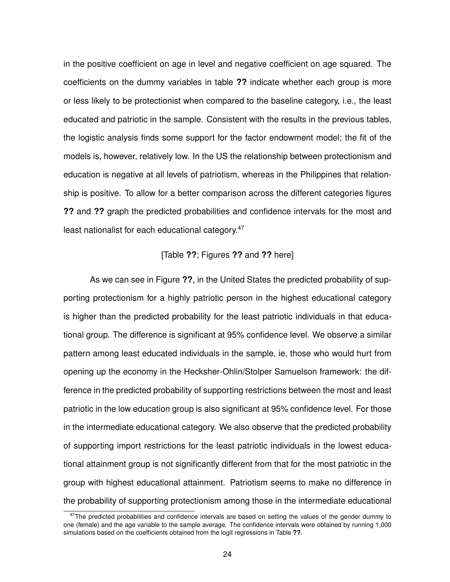in the positive coefficient on age in level and negative coefficient on age squared. The coefficients on the dummy variables in table **??** indicate whether each group is more or less likely to be protectionist when compared to the baseline category, i.e., the least educated and patriotic in the sample. Consistent with the results in the previous tables, the logistic analysis finds some support for the factor endowment model; the fit of the models is, however, relatively low. In the US the relationship between protectionism and education is negative at all levels of patriotism, whereas in the Philippines that relationship is positive. To allow for a better comparison across the different categories figures **??** and **??** graph the predicted probabilities and confidence intervals for the most and least nationalist for each educational category.<sup>47</sup>

# [Table **??**; Figures **??** and **??** here]

As we can see in Figure **??**, in the United States the predicted probability of supporting protectionism for a highly patriotic person in the highest educational category is higher than the predicted probability for the least patriotic individuals in that educational group. The difference is significant at 95% confidence level. We observe a similar pattern among least educated individuals in the sample, ie, those who would hurt from opening up the economy in the Hecksher-Ohlin/Stolper Samuelson framework: the difference in the predicted probability of supporting restrictions between the most and least patriotic in the low education group is also significant at 95% confidence level. For those in the intermediate educational category. We also observe that the predicted probability of supporting import restrictions for the least patriotic individuals in the lowest educational attainment group is not significantly different from that for the most patriotic in the group with highest educational attainment. Patriotism seems to make no difference in the probability of supporting protectionism among those in the intermediate educational

<sup>&</sup>lt;sup>47</sup>The predicted probabilities and confidence intervals are based on setting the values of the gender dummy to one (female) and the age variable to the sample average. The confidence intervals were obtained by running 1,000 simulations based on the coefficients obtained from the logit regressions in Table **??**.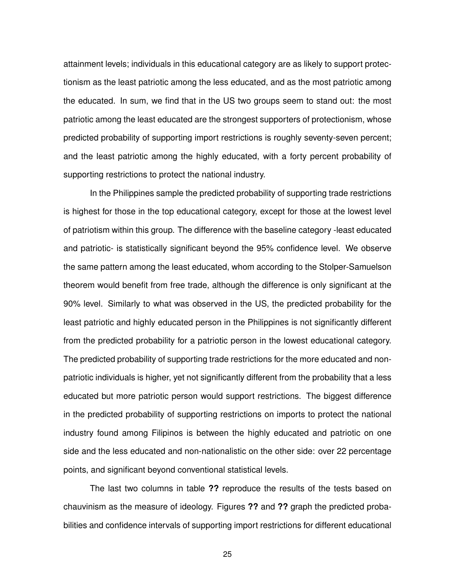attainment levels; individuals in this educational category are as likely to support protectionism as the least patriotic among the less educated, and as the most patriotic among the educated. In sum, we find that in the US two groups seem to stand out: the most patriotic among the least educated are the strongest supporters of protectionism, whose predicted probability of supporting import restrictions is roughly seventy-seven percent; and the least patriotic among the highly educated, with a forty percent probability of supporting restrictions to protect the national industry.

In the Philippines sample the predicted probability of supporting trade restrictions is highest for those in the top educational category, except for those at the lowest level of patriotism within this group. The difference with the baseline category -least educated and patriotic- is statistically significant beyond the 95% confidence level. We observe the same pattern among the least educated, whom according to the Stolper-Samuelson theorem would benefit from free trade, although the difference is only significant at the 90% level. Similarly to what was observed in the US, the predicted probability for the least patriotic and highly educated person in the Philippines is not significantly different from the predicted probability for a patriotic person in the lowest educational category. The predicted probability of supporting trade restrictions for the more educated and nonpatriotic individuals is higher, yet not significantly different from the probability that a less educated but more patriotic person would support restrictions. The biggest difference in the predicted probability of supporting restrictions on imports to protect the national industry found among Filipinos is between the highly educated and patriotic on one side and the less educated and non-nationalistic on the other side: over 22 percentage points, and significant beyond conventional statistical levels.

The last two columns in table **??** reproduce the results of the tests based on chauvinism as the measure of ideology. Figures **??** and **??** graph the predicted probabilities and confidence intervals of supporting import restrictions for different educational

25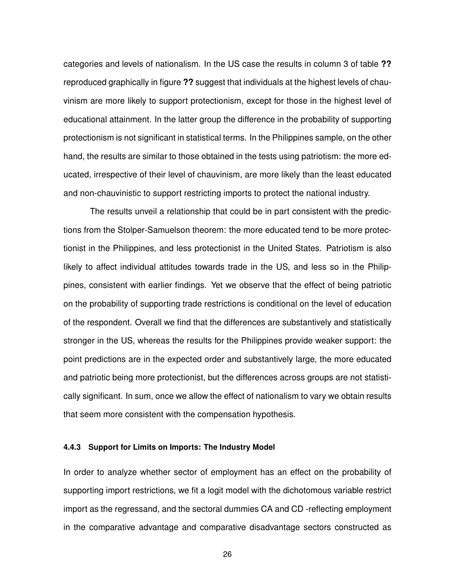categories and levels of nationalism. In the US case the results in column 3 of table **??** reproduced graphically in figure **??** suggest that individuals at the highest levels of chauvinism are more likely to support protectionism, except for those in the highest level of educational attainment. In the latter group the difference in the probability of supporting protectionism is not significant in statistical terms. In the Philippines sample, on the other hand, the results are similar to those obtained in the tests using patriotism: the more educated, irrespective of their level of chauvinism, are more likely than the least educated and non-chauvinistic to support restricting imports to protect the national industry.

The results unveil a relationship that could be in part consistent with the predictions from the Stolper-Samuelson theorem: the more educated tend to be more protectionist in the Philippines, and less protectionist in the United States. Patriotism is also likely to affect individual attitudes towards trade in the US, and less so in the Philippines, consistent with earlier findings. Yet we observe that the effect of being patriotic on the probability of supporting trade restrictions is conditional on the level of education of the respondent. Overall we find that the differences are substantively and statistically stronger in the US, whereas the results for the Philippines provide weaker support: the point predictions are in the expected order and substantively large, the more educated and patriotic being more protectionist, but the differences across groups are not statistically significant. In sum, once we allow the effect of nationalism to vary we obtain results that seem more consistent with the compensation hypothesis.

#### **4.4.3 Support for Limits on Imports: The Industry Model**

In order to analyze whether sector of employment has an effect on the probability of supporting import restrictions, we fit a logit model with the dichotomous variable restrict import as the regressand, and the sectoral dummies CA and CD -reflecting employment in the comparative advantage and comparative disadvantage sectors constructed as

26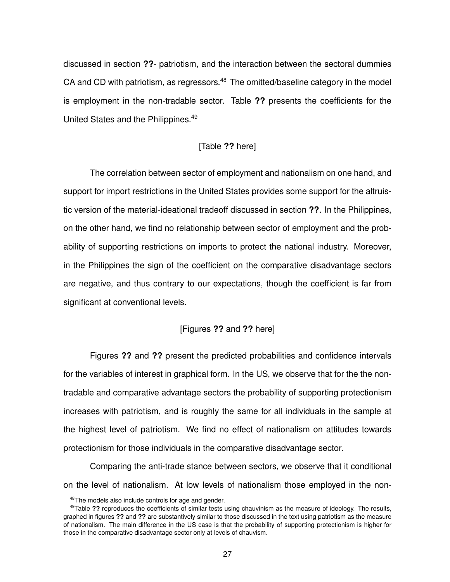discussed in section **??**- patriotism, and the interaction between the sectoral dummies CA and CD with patriotism, as regressors.<sup>48</sup> The omitted/baseline category in the model is employment in the non-tradable sector. Table **??** presents the coefficients for the United States and the Philippines.<sup>49</sup>

## [Table **??** here]

The correlation between sector of employment and nationalism on one hand, and support for import restrictions in the United States provides some support for the altruistic version of the material-ideational tradeoff discussed in section **??**. In the Philippines, on the other hand, we find no relationship between sector of employment and the probability of supporting restrictions on imports to protect the national industry. Moreover, in the Philippines the sign of the coefficient on the comparative disadvantage sectors are negative, and thus contrary to our expectations, though the coefficient is far from significant at conventional levels.

## [Figures **??** and **??** here]

Figures **??** and **??** present the predicted probabilities and confidence intervals for the variables of interest in graphical form. In the US, we observe that for the the nontradable and comparative advantage sectors the probability of supporting protectionism increases with patriotism, and is roughly the same for all individuals in the sample at the highest level of patriotism. We find no effect of nationalism on attitudes towards protectionism for those individuals in the comparative disadvantage sector.

Comparing the anti-trade stance between sectors, we observe that it conditional on the level of nationalism. At low levels of nationalism those employed in the non-

<sup>48</sup>The models also include controls for age and gender.

<sup>49</sup>Table **??** reproduces the coefficients of similar tests using chauvinism as the measure of ideology. The results, graphed in figures **??** and **??** are substantively similar to those discussed in the text using patriotism as the measure of nationalism. The main difference in the US case is that the probability of supporting protectionism is higher for those in the comparative disadvantage sector only at levels of chauvism.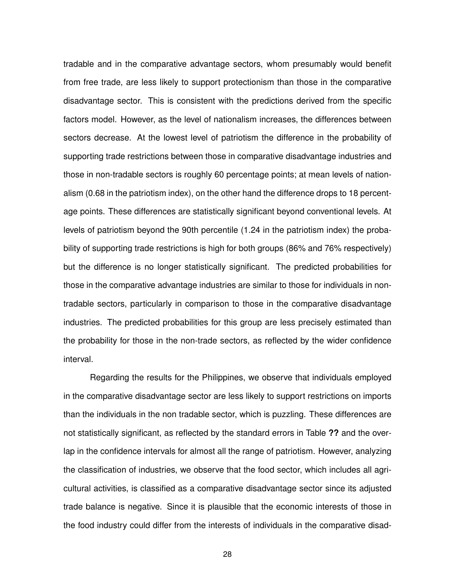tradable and in the comparative advantage sectors, whom presumably would benefit from free trade, are less likely to support protectionism than those in the comparative disadvantage sector. This is consistent with the predictions derived from the specific factors model. However, as the level of nationalism increases, the differences between sectors decrease. At the lowest level of patriotism the difference in the probability of supporting trade restrictions between those in comparative disadvantage industries and those in non-tradable sectors is roughly 60 percentage points; at mean levels of nationalism (0.68 in the patriotism index), on the other hand the difference drops to 18 percentage points. These differences are statistically significant beyond conventional levels. At levels of patriotism beyond the 90th percentile (1.24 in the patriotism index) the probability of supporting trade restrictions is high for both groups (86% and 76% respectively) but the difference is no longer statistically significant. The predicted probabilities for those in the comparative advantage industries are similar to those for individuals in nontradable sectors, particularly in comparison to those in the comparative disadvantage industries. The predicted probabilities for this group are less precisely estimated than the probability for those in the non-trade sectors, as reflected by the wider confidence interval.

Regarding the results for the Philippines, we observe that individuals employed in the comparative disadvantage sector are less likely to support restrictions on imports than the individuals in the non tradable sector, which is puzzling. These differences are not statistically significant, as reflected by the standard errors in Table **??** and the overlap in the confidence intervals for almost all the range of patriotism. However, analyzing the classification of industries, we observe that the food sector, which includes all agricultural activities, is classified as a comparative disadvantage sector since its adjusted trade balance is negative. Since it is plausible that the economic interests of those in the food industry could differ from the interests of individuals in the comparative disad-

28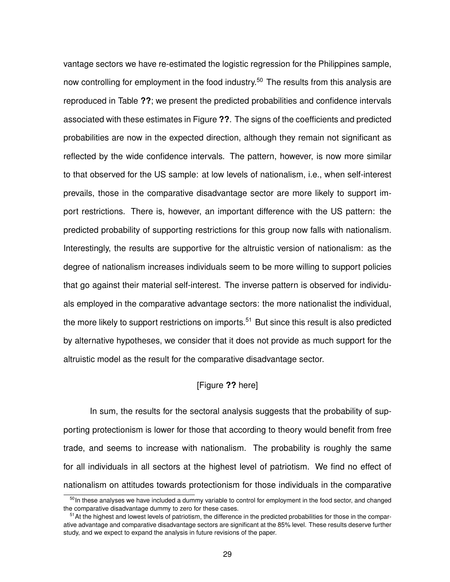vantage sectors we have re-estimated the logistic regression for the Philippines sample, now controlling for employment in the food industry.<sup>50</sup> The results from this analysis are reproduced in Table **??**; we present the predicted probabilities and confidence intervals associated with these estimates in Figure **??**. The signs of the coefficients and predicted probabilities are now in the expected direction, although they remain not significant as reflected by the wide confidence intervals. The pattern, however, is now more similar to that observed for the US sample: at low levels of nationalism, i.e., when self-interest prevails, those in the comparative disadvantage sector are more likely to support import restrictions. There is, however, an important difference with the US pattern: the predicted probability of supporting restrictions for this group now falls with nationalism. Interestingly, the results are supportive for the altruistic version of nationalism: as the degree of nationalism increases individuals seem to be more willing to support policies that go against their material self-interest. The inverse pattern is observed for individuals employed in the comparative advantage sectors: the more nationalist the individual, the more likely to support restrictions on imports.<sup>51</sup> But since this result is also predicted by alternative hypotheses, we consider that it does not provide as much support for the altruistic model as the result for the comparative disadvantage sector.

# [Figure **??** here]

In sum, the results for the sectoral analysis suggests that the probability of supporting protectionism is lower for those that according to theory would benefit from free trade, and seems to increase with nationalism. The probability is roughly the same for all individuals in all sectors at the highest level of patriotism. We find no effect of nationalism on attitudes towards protectionism for those individuals in the comparative

<sup>&</sup>lt;sup>50</sup>In these analyses we have included a dummy variable to control for employment in the food sector, and changed the comparative disadvantage dummy to zero for these cases.

<sup>&</sup>lt;sup>51</sup>At the highest and lowest levels of patriotism, the difference in the predicted probabilities for those in the comparative advantage and comparative disadvantage sectors are significant at the 85% level. These results deserve further study, and we expect to expand the analysis in future revisions of the paper.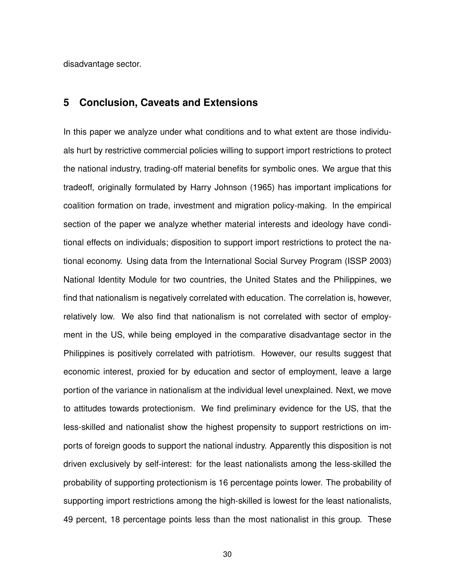disadvantage sector.

# **5 Conclusion, Caveats and Extensions**

In this paper we analyze under what conditions and to what extent are those individuals hurt by restrictive commercial policies willing to support import restrictions to protect the national industry, trading-off material benefits for symbolic ones. We argue that this tradeoff, originally formulated by Harry Johnson (1965) has important implications for coalition formation on trade, investment and migration policy-making. In the empirical section of the paper we analyze whether material interests and ideology have conditional effects on individuals; disposition to support import restrictions to protect the national economy. Using data from the International Social Survey Program (ISSP 2003) National Identity Module for two countries, the United States and the Philippines, we find that nationalism is negatively correlated with education. The correlation is, however, relatively low. We also find that nationalism is not correlated with sector of employment in the US, while being employed in the comparative disadvantage sector in the Philippines is positively correlated with patriotism. However, our results suggest that economic interest, proxied for by education and sector of employment, leave a large portion of the variance in nationalism at the individual level unexplained. Next, we move to attitudes towards protectionism. We find preliminary evidence for the US, that the less-skilled and nationalist show the highest propensity to support restrictions on imports of foreign goods to support the national industry. Apparently this disposition is not driven exclusively by self-interest: for the least nationalists among the less-skilled the probability of supporting protectionism is 16 percentage points lower. The probability of supporting import restrictions among the high-skilled is lowest for the least nationalists, 49 percent, 18 percentage points less than the most nationalist in this group. These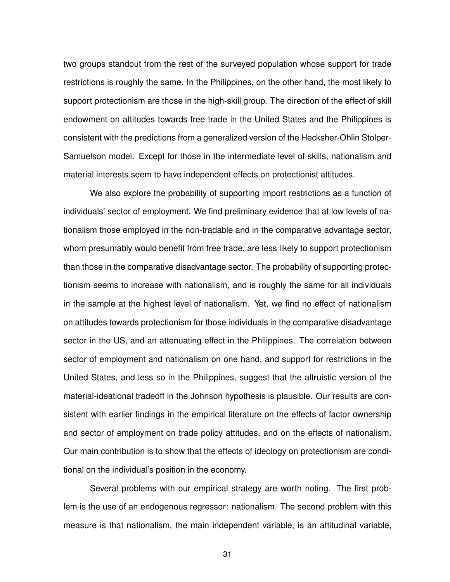two groups standout from the rest of the surveyed population whose support for trade restrictions is roughly the same. In the Philippines, on the other hand, the most likely to support protectionism are those in the high-skill group. The direction of the effect of skill endowment on attitudes towards free trade in the United States and the Philippines is consistent with the predictions from a generalized version of the Hecksher-Ohlin Stolper-Samuelson model. Except for those in the intermediate level of skills, nationalism and material interests seem to have independent effects on protectionist attitudes.

We also explore the probability of supporting import restrictions as a function of individuals' sector of employment. We find preliminary evidence that at low levels of nationalism those employed in the non-tradable and in the comparative advantage sector, whom presumably would benefit from free trade, are less likely to support protectionism than those in the comparative disadvantage sector. The probability of supporting protectionism seems to increase with nationalism, and is roughly the same for all individuals in the sample at the highest level of nationalism. Yet, we find no effect of nationalism on attitudes towards protectionism for those individuals in the comparative disadvantage sector in the US, and an attenuating effect in the Philippines. The correlation between sector of employment and nationalism on one hand, and support for restrictions in the United States, and less so in the Philippines, suggest that the altruistic version of the material-ideational tradeoff in the Johnson hypothesis is plausible. Our results are consistent with earlier findings in the empirical literature on the effects of factor ownership and sector of employment on trade policy attitudes, and on the effects of nationalism. Our main contribution is to show that the effects of ideology on protectionism are conditional on the individual's position in the economy.

Several problems with our empirical strategy are worth noting. The first problem is the use of an endogenous regressor: nationalism. The second problem with this measure is that nationalism, the main independent variable, is an attitudinal variable,

31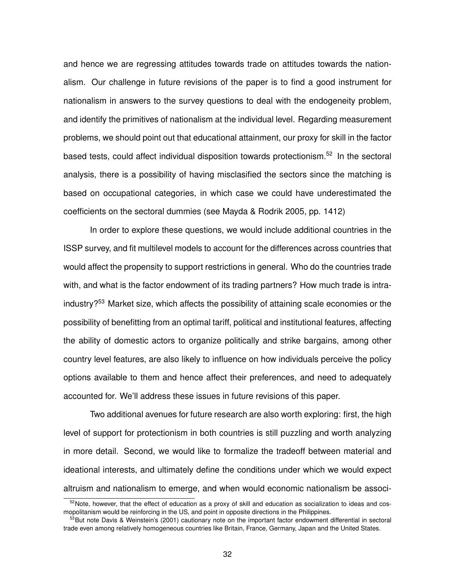and hence we are regressing attitudes towards trade on attitudes towards the nationalism. Our challenge in future revisions of the paper is to find a good instrument for nationalism in answers to the survey questions to deal with the endogeneity problem, and identify the primitives of nationalism at the individual level. Regarding measurement problems, we should point out that educational attainment, our proxy for skill in the factor based tests, could affect individual disposition towards protectionism.<sup>52</sup> In the sectoral analysis, there is a possibility of having misclasified the sectors since the matching is based on occupational categories, in which case we could have underestimated the coefficients on the sectoral dummies (see Mayda & Rodrik 2005, pp. 1412)

In order to explore these questions, we would include additional countries in the ISSP survey, and fit multilevel models to account for the differences across countries that would affect the propensity to support restrictions in general. Who do the countries trade with, and what is the factor endowment of its trading partners? How much trade is intraindustry?<sup>53</sup> Market size, which affects the possibility of attaining scale economies or the possibility of benefitting from an optimal tariff, political and institutional features, affecting the ability of domestic actors to organize politically and strike bargains, among other country level features, are also likely to influence on how individuals perceive the policy options available to them and hence affect their preferences, and need to adequately accounted for. We'll address these issues in future revisions of this paper.

Two additional avenues for future research are also worth exploring: first, the high level of support for protectionism in both countries is still puzzling and worth analyzing in more detail. Second, we would like to formalize the tradeoff between material and ideational interests, and ultimately define the conditions under which we would expect altruism and nationalism to emerge, and when would economic nationalism be associ-

<sup>52</sup>Note, however, that the effect of education as a proxy of skill and education as socialization to ideas and cosmopolitanism would be reinforcing in the US, and point in opposite directions in the Philippines.

<sup>&</sup>lt;sup>53</sup>But note Davis & Weinstein's (2001) cautionary note on the important factor endowment differential in sectoral trade even among relatively homogeneous countries like Britain, France, Germany, Japan and the United States.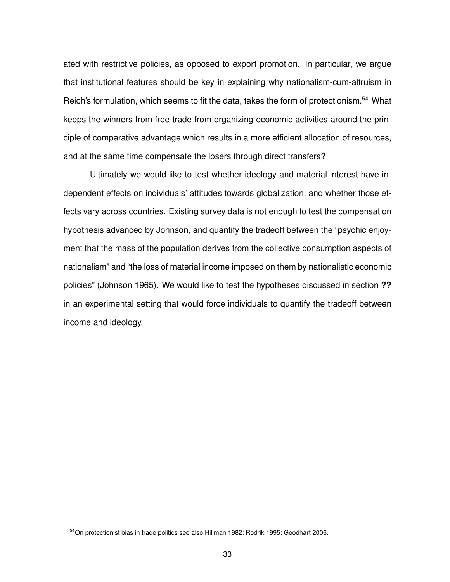ated with restrictive policies, as opposed to export promotion. In particular, we argue that institutional features should be key in explaining why nationalism-cum-altruism in Reich's formulation, which seems to fit the data, takes the form of protectionism.<sup>54</sup> What keeps the winners from free trade from organizing economic activities around the principle of comparative advantage which results in a more efficient allocation of resources, and at the same time compensate the losers through direct transfers?

Ultimately we would like to test whether ideology and material interest have independent effects on individuals' attitudes towards globalization, and whether those effects vary across countries. Existing survey data is not enough to test the compensation hypothesis advanced by Johnson, and quantify the tradeoff between the "psychic enjoyment that the mass of the population derives from the collective consumption aspects of nationalism" and "the loss of material income imposed on them by nationalistic economic policies" (Johnson 1965). We would like to test the hypotheses discussed in section **??** in an experimental setting that would force individuals to quantify the tradeoff between income and ideology.

<sup>54</sup>On protectionist bias in trade politics see also Hillman 1982; Rodrik 1995; Goodhart 2006.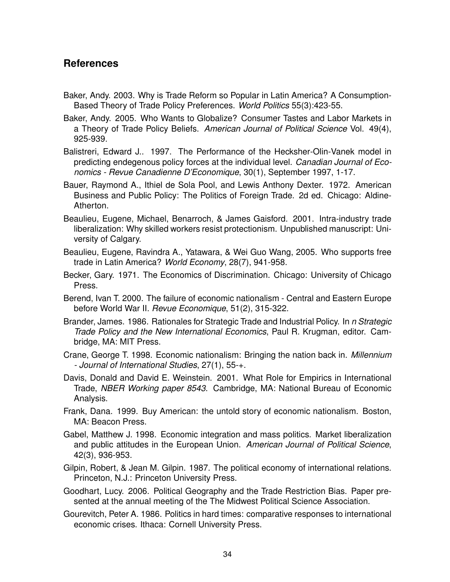# **References**

- Baker, Andy. 2003. Why is Trade Reform so Popular in Latin America? A Consumption-Based Theory of Trade Policy Preferences. *World Politics* 55(3):423-55.
- Baker, Andy. 2005. Who Wants to Globalize? Consumer Tastes and Labor Markets in a Theory of Trade Policy Beliefs. *American Journal of Political Science* Vol. 49(4), 925-939.
- Balistreri, Edward J.. 1997. The Performance of the Hecksher-Olin-Vanek model in predicting endegenous policy forces at the individual level. *Canadian Journal of Economics - Revue Canadienne D'Economique*, 30(1), September 1997, 1-17.
- Bauer, Raymond A., Ithiel de Sola Pool, and Lewis Anthony Dexter. 1972. American Business and Public Policy: The Politics of Foreign Trade. 2d ed. Chicago: Aldine-Atherton.
- Beaulieu, Eugene, Michael, Benarroch, & James Gaisford. 2001. Intra-industry trade liberalization: Why skilled workers resist protectionism. Unpublished manuscript: University of Calgary.
- Beaulieu, Eugene, Ravindra A., Yatawara, & Wei Guo Wang, 2005. Who supports free trade in Latin America? *World Economy*, 28(7), 941-958.
- Becker, Gary. 1971. The Economics of Discrimination. Chicago: University of Chicago Press.
- Berend, Ivan T. 2000. The failure of economic nationalism Central and Eastern Europe before World War II. *Revue Economique*, 51(2), 315-322.
- Brander, James. 1986. Rationales for Strategic Trade and Industrial Policy. In *n Strategic Trade Policy and the New International Economics*, Paul R. Krugman, editor. Cambridge, MA: MIT Press.
- Crane, George T. 1998. Economic nationalism: Bringing the nation back in. *Millennium - Journal of International Studies*, 27(1), 55-+.
- Davis, Donald and David E. Weinstein. 2001. What Role for Empirics in International Trade, *NBER Working paper 8543*. Cambridge, MA: National Bureau of Economic Analysis.
- Frank, Dana. 1999. Buy American: the untold story of economic nationalism. Boston, MA: Beacon Press.
- Gabel, Matthew J. 1998. Economic integration and mass politics. Market liberalization and public attitudes in the European Union. *American Journal of Political Science*, 42(3), 936-953.
- Gilpin, Robert, & Jean M. Gilpin. 1987. The political economy of international relations. Princeton, N.J.: Princeton University Press.
- Goodhart, Lucy. 2006. Political Geography and the Trade Restriction Bias. Paper presented at the annual meeting of the The Midwest Political Science Association.
- Gourevitch, Peter A. 1986. Politics in hard times: comparative responses to international economic crises. Ithaca: Cornell University Press.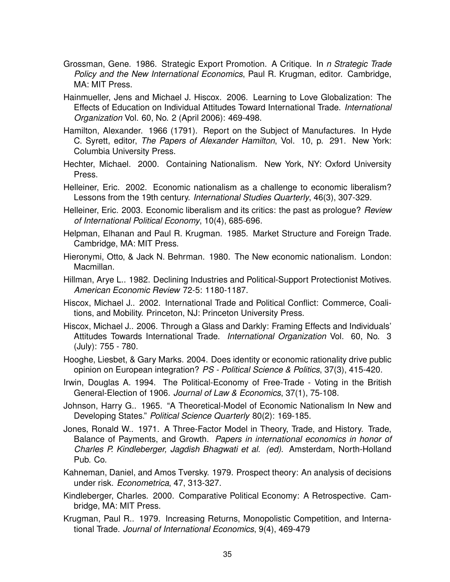- Grossman, Gene. 1986. Strategic Export Promotion. A Critique. In *n Strategic Trade Policy and the New International Economics*, Paul R. Krugman, editor. Cambridge, MA: MIT Press.
- Hainmueller, Jens and Michael J. Hiscox. 2006. Learning to Love Globalization: The Effects of Education on Individual Attitudes Toward International Trade. *International Organization* Vol. 60, No. 2 (April 2006): 469-498.
- Hamilton, Alexander. 1966 (1791). Report on the Subject of Manufactures. In Hyde C. Syrett, editor, *The Papers of Alexander Hamilton*, Vol. 10, p. 291. New York: Columbia University Press.
- Hechter, Michael. 2000. Containing Nationalism. New York, NY: Oxford University Press.
- Helleiner, Eric. 2002. Economic nationalism as a challenge to economic liberalism? Lessons from the 19th century. *International Studies Quarterly*, 46(3), 307-329.
- Helleiner, Eric. 2003. Economic liberalism and its critics: the past as prologue? *Review of International Political Economy*, 10(4), 685-696.
- Helpman, Elhanan and Paul R. Krugman. 1985. Market Structure and Foreign Trade. Cambridge, MA: MIT Press.
- Hieronymi, Otto, & Jack N. Behrman. 1980. The New economic nationalism. London: Macmillan.
- Hillman, Arye L.. 1982. Declining Industries and Political-Support Protectionist Motives. *American Economic Review* 72-5: 1180-1187.
- Hiscox, Michael J.. 2002. International Trade and Political Conflict: Commerce, Coalitions, and Mobility. Princeton, NJ: Princeton University Press.
- Hiscox, Michael J.. 2006. Through a Glass and Darkly: Framing Effects and Individuals' Attitudes Towards International Trade. *International Organization* Vol. 60, No. 3 (July): 755 - 780.
- Hooghe, Liesbet, & Gary Marks. 2004. Does identity or economic rationality drive public opinion on European integration? *PS - Political Science & Politics*, 37(3), 415-420.
- Irwin, Douglas A. 1994. The Political-Economy of Free-Trade Voting in the British General-Election of 1906. *Journal of Law & Economics*, 37(1), 75-108.
- Johnson, Harry G.. 1965. "A Theoretical-Model of Economic Nationalism In New and Developing States." *Political Science Quarterly* 80(2): 169-185.
- Jones, Ronald W.. 1971. A Three-Factor Model in Theory, Trade, and History. Trade, Balance of Payments, and Growth. *Papers in international economics in honor of Charles P. Kindleberger, Jagdish Bhagwati et al. (ed)*. Amsterdam, North-Holland Pub. Co.
- Kahneman, Daniel, and Amos Tversky. 1979. Prospect theory: An analysis of decisions under risk. *Econometrica*, 47, 313-327.
- Kindleberger, Charles. 2000. Comparative Political Economy: A Retrospective. Cambridge, MA: MIT Press.
- Krugman, Paul R.. 1979. Increasing Returns, Monopolistic Competition, and International Trade. *Journal of International Economics*, 9(4), 469-479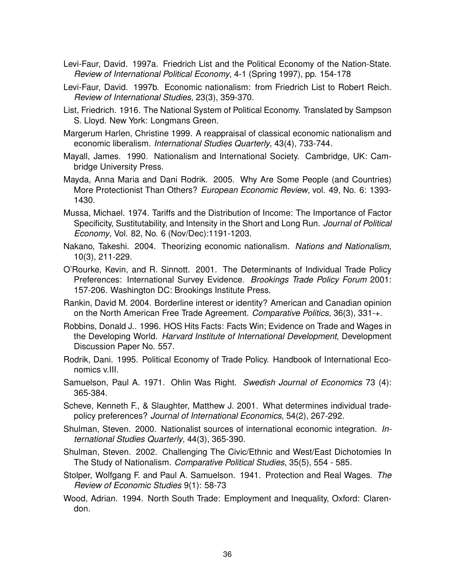- Levi-Faur, David. 1997a. Friedrich List and the Political Economy of the Nation-State. *Review of International Political Economy*, 4-1 (Spring 1997), pp. 154-178
- Levi-Faur, David. 1997b. Economic nationalism: from Friedrich List to Robert Reich. *Review of International Studies*, 23(3), 359-370.
- List, Friedrich. 1916. The National System of Political Economy. Translated by Sampson S. Lloyd. New York: Longmans Green.
- Margerum Harlen, Christine 1999. A reappraisal of classical economic nationalism and economic liberalism. *International Studies Quarterly*, 43(4), 733-744.
- Mayall, James. 1990. Nationalism and International Society. Cambridge, UK: Cambridge University Press.
- Mayda, Anna Maria and Dani Rodrik. 2005. Why Are Some People (and Countries) More Protectionist Than Others? *European Economic Review*, vol. 49, No. 6: 1393- 1430.
- Mussa, Michael. 1974. Tariffs and the Distribution of Income: The Importance of Factor Specificity, Sustitutability, and Intensity in the Short and Long Run. *Journal of Political Economy*, Vol. 82, No. 6 (Nov/Dec):1191-1203.
- Nakano, Takeshi. 2004. Theorizing economic nationalism. *Nations and Nationalism*, 10(3), 211-229.
- O'Rourke, Kevin, and R. Sinnott. 2001. The Determinants of Individual Trade Policy Preferences: International Survey Evidence. *Brookings Trade Policy Forum* 2001: 157-206. Washington DC: Brookings Institute Press.
- Rankin, David M. 2004. Borderline interest or identity? American and Canadian opinion on the North American Free Trade Agreement. *Comparative Politics*, 36(3), 331-+.
- Robbins, Donald J.. 1996. HOS Hits Facts: Facts Win; Evidence on Trade and Wages in the Developing World. *Harvard Institute of International Development*, Development Discussion Paper No. 557.
- Rodrik, Dani. 1995. Political Economy of Trade Policy. Handbook of International Economics v.III.
- Samuelson, Paul A. 1971. Ohlin Was Right. *Swedish Journal of Economics* 73 (4): 365-384.
- Scheve, Kenneth F., & Slaughter, Matthew J. 2001. What determines individual tradepolicy preferences? *Journal of International Economics*, 54(2), 267-292.
- Shulman, Steven. 2000. Nationalist sources of international economic integration. *International Studies Quarterly*, 44(3), 365-390.
- Shulman, Steven. 2002. Challenging The Civic/Ethnic and West/East Dichotomies In The Study of Nationalism. *Comparative Political Studies*, 35(5), 554 - 585.
- Stolper, Wolfgang F. and Paul A. Samuelson. 1941. Protection and Real Wages. *The Review of Economic Studies* 9(1): 58-73
- Wood, Adrian. 1994. North South Trade: Employment and Inequality, Oxford: Clarendon.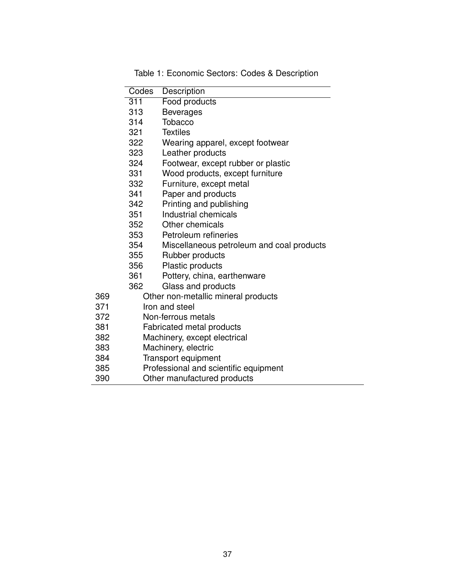|     | Codes | Description                               |
|-----|-------|-------------------------------------------|
|     | 311   | Food products                             |
|     | 313   | <b>Beverages</b>                          |
|     | 314   | <b>Tobacco</b>                            |
|     | 321   | <b>Textiles</b>                           |
|     | 322   | Wearing apparel, except footwear          |
|     | 323   | Leather products                          |
|     | 324   | Footwear, except rubber or plastic        |
|     | 331   | Wood products, except furniture           |
|     | 332   | Furniture, except metal                   |
|     | 341   | Paper and products                        |
|     | 342   | Printing and publishing                   |
|     | 351   | Industrial chemicals                      |
|     | 352   | Other chemicals                           |
|     | 353   | Petroleum refineries                      |
|     | 354   | Miscellaneous petroleum and coal products |
|     | 355   | Rubber products                           |
|     | 356   | Plastic products                          |
|     | 361   | Pottery, china, earthenware               |
|     | 362   | Glass and products                        |
| 369 |       | Other non-metallic mineral products       |
| 371 |       | Iron and steel                            |
| 372 |       | Non-ferrous metals                        |
| 381 |       | Fabricated metal products                 |
| 382 |       | Machinery, except electrical              |
| 383 |       | Machinery, electric                       |
| 384 |       | Transport equipment                       |
| 385 |       | Professional and scientific equipment     |
| 390 |       | Other manufactured products               |
|     |       |                                           |

Table 1: Economic Sectors: Codes & Description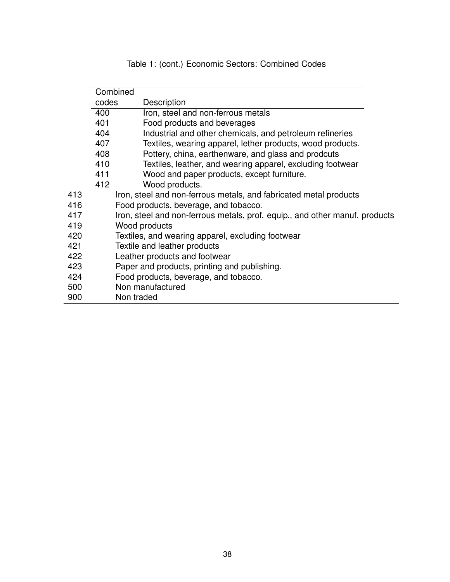| Table 1: (cont.) Economic Sectors: Combined Codes |
|---------------------------------------------------|
|---------------------------------------------------|

|     |       | Combined                                                                    |
|-----|-------|-----------------------------------------------------------------------------|
|     | codes | Description                                                                 |
|     | 400   | Iron, steel and non-ferrous metals                                          |
|     | 401   | Food products and beverages                                                 |
|     | 404   | Industrial and other chemicals, and petroleum refineries                    |
|     | 407   | Textiles, wearing apparel, lether products, wood products.                  |
|     | 408   | Pottery, china, earthenware, and glass and prodcuts                         |
|     | 410   | Textiles, leather, and wearing apparel, excluding footwear                  |
|     | 411   | Wood and paper products, except furniture.                                  |
|     | 412   | Wood products.                                                              |
| 413 |       | Iron, steel and non-ferrous metals, and fabricated metal products           |
| 416 |       | Food products, beverage, and tobacco.                                       |
| 417 |       | Iron, steel and non-ferrous metals, prof. equip., and other manuf. products |
| 419 |       | Wood products                                                               |
| 420 |       | Textiles, and wearing apparel, excluding footwear                           |
| 421 |       | Textile and leather products                                                |
| 422 |       | Leather products and footwear                                               |
| 423 |       | Paper and products, printing and publishing.                                |
| 424 |       | Food products, beverage, and tobacco.                                       |
| 500 |       | Non manufactured                                                            |
| 900 |       | Non traded                                                                  |
|     |       |                                                                             |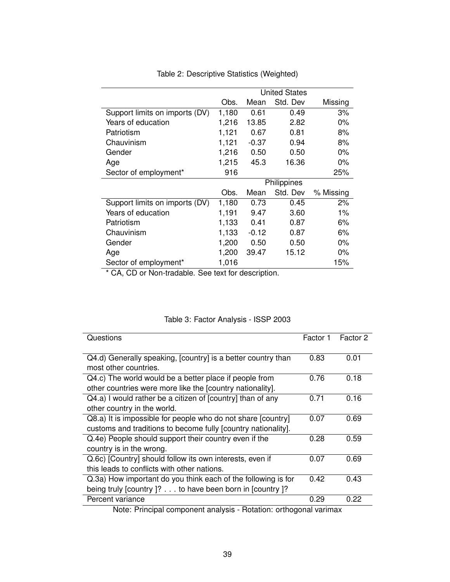|                                | <b>United States</b> |         |             |           |  |
|--------------------------------|----------------------|---------|-------------|-----------|--|
|                                | Obs.                 | Mean    | Std. Dev    | Missing   |  |
| Support limits on imports (DV) | 1,180                | 0.61    | 0.49        | 3%        |  |
| Years of education             | 1,216                | 13.85   | 2.82        | $0\%$     |  |
| Patriotism                     | 1,121                | 0.67    | 0.81        | 8%        |  |
| Chauvinism                     | 1,121                | $-0.37$ | 0.94        | 8%        |  |
| Gender                         | 1,216                | 0.50    | 0.50        | $0\%$     |  |
| Age                            | 1,215                | 45.3    | 16.36       | $0\%$     |  |
| Sector of employment*          | 916                  |         |             | 25%       |  |
|                                |                      |         | Philippines |           |  |
|                                | Obs.                 | Mean    | Std. Dev    | % Missing |  |
| Support limits on imports (DV) | 1,180                | 0.73    | 0.45        | 2%        |  |
| Years of education             | 1,191                | 9.47    | 3.60        | $1\%$     |  |
| Patriotism                     | 1,133                | 0.41    | 0.87        | 6%        |  |
| Chauvinism                     | 1,133                | $-0.12$ | 0.87        | 6%        |  |
| Gender                         | 1,200                | 0.50    | 0.50        | $0\%$     |  |
| Age                            | 1,200                | 39.47   | 15.12       | $0\%$     |  |
| Sector of employment*          | 1,016                |         |             | 15%       |  |

Table 2: Descriptive Statistics (Weighted)

\* CA, CD or Non-tradable. See text for description.

|  |  | Table 3: Factor Analysis - ISSP 2003 |  |  |
|--|--|--------------------------------------|--|--|
|--|--|--------------------------------------|--|--|

| Questions                                                     | Factor 1 | Factor 2 |
|---------------------------------------------------------------|----------|----------|
| Q4.d) Generally speaking, [country] is a better country than  | 0.83     | 0.01     |
| most other countries.                                         |          |          |
| Q4.c) The world would be a better place if people from        | 0.76     | 0.18     |
| other countries were more like the [country nationality].     |          |          |
| Q4.a) I would rather be a citizen of [country] than of any    | 0.71     | 0.16     |
| other country in the world.                                   |          |          |
| Q8.a) It is impossible for people who do not share [country]  | 0.07     | 0.69     |
| customs and traditions to become fully [country nationality]. |          |          |
| Q.4e) People should support their country even if the         | 0.28     | 0.59     |
| country is in the wrong.                                      |          |          |
| Q.6c) [Country] should follow its own interests, even if      | 0.07     | 0.69     |
| this leads to conflicts with other nations.                   |          |          |
| Q.3a) How important do you think each of the following is for | 0.42     | 0.43     |
| being truly [country ]? to have been born in [country ]?      |          |          |
| Percent variance                                              | 0.29     | 0.22     |
| <b>Contract Contract Contract</b><br>.<br>- -<br>. .          |          |          |

Note: Principal component analysis - Rotation: orthogonal varimax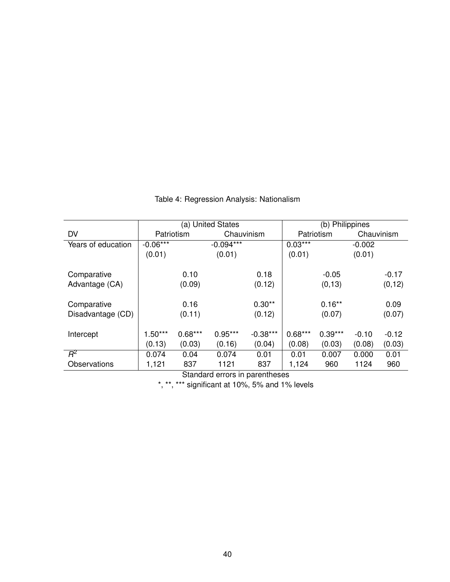|                    | (a) United States |            |             |            | (b) Philippines |            |          |            |
|--------------------|-------------------|------------|-------------|------------|-----------------|------------|----------|------------|
| <b>DV</b>          |                   | Patriotism |             | Chauvinism |                 | Patriotism |          | Chauvinism |
| Years of education | $-0.06***$        |            | $-0.094***$ |            | $0.03***$       |            | $-0.002$ |            |
|                    | (0.01)            |            | (0.01)      |            | (0.01)          |            | (0.01)   |            |
|                    |                   |            |             |            |                 |            |          |            |
| Comparative        |                   | 0.10       |             | 0.18       |                 | $-0.05$    |          | $-0.17$    |
| Advantage (CA)     |                   | (0.09)     |             | (0.12)     |                 | (0, 13)    |          | (0, 12)    |
|                    |                   |            |             |            |                 |            |          |            |
| Comparative        |                   | 0.16       |             | $0.30**$   |                 | $0.16***$  |          | 0.09       |
| Disadvantage (CD)  |                   | (0.11)     |             | (0.12)     |                 | (0.07)     |          | (0.07)     |
|                    |                   |            |             |            |                 |            |          |            |
| Intercept          | $1.50***$         | $0.68***$  | $0.95***$   | $-0.38***$ | $0.68***$       | $0.39***$  | $-0.10$  | $-0.12$    |
|                    | (0.13)            | (0.03)     | (0.16)      | (0.04)     | (0.08)          | (0.03)     | (0.08)   | (0.03)     |
| $R^2$              | 0.074             | 0.04       | 0.074       | 0.01       | 0.01            | 0.007      | 0.000    | 0.01       |
| Observations       | 1,121             | 837        | 1121        | 837        | 1,124           | 960        | 1124     | 960        |

Table 4: Regression Analysis: Nationalism

Standard errors in parentheses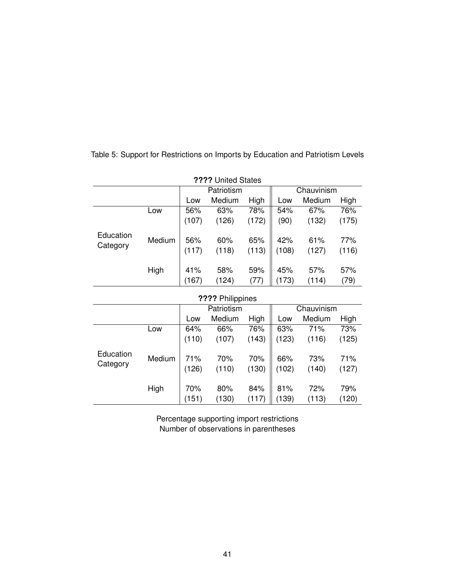| ???? United States    |        |       |            |       |            |        |       |  |
|-----------------------|--------|-------|------------|-------|------------|--------|-------|--|
|                       |        |       | Patriotism |       | Chauvinism |        |       |  |
|                       |        | Low   | Medium     | High  | Low        | Medium | High  |  |
|                       | Low    | 56%   | 63%        | 78%   | 54%        | 67%    | 76%   |  |
|                       |        | (107) | (126)      | (172) | (90)       | (132)  | (175) |  |
| Education<br>Category | Medium | 56%   | 60%        | 65%   | 42%        | 61%    | 77%   |  |
|                       |        | (117) | (118)      | (113) | (108)      | (127)  | (116) |  |
|                       | High   | 41%   | 58%        | 59%   | 45%        | 57%    | 57%   |  |
|                       |        | (167) | (124)      | (77)  | (173)      | (114)  | (79)  |  |
|                       |        |       |            |       |            |        |       |  |

Table 5: Support for Restrictions on Imports by Education and Patriotism Levels

| ???? Philippines      |        |              |              |              |              |              |              |  |
|-----------------------|--------|--------------|--------------|--------------|--------------|--------------|--------------|--|
|                       |        |              | Patriotism   |              |              | Chauvinism   |              |  |
|                       |        | Low          | Medium       | High         | Low          | Medium       | High         |  |
|                       | Low    | 64%          | 66%          | 76%          | 63%          | 71%          | 73%          |  |
|                       |        | (110)        | (107)        | (143)        | (123)        | (116)        | (125)        |  |
| Education<br>Category | Medium | 71%<br>(126) | 70%<br>(110) | 70%<br>(130) | 66%<br>(102) | 73%<br>(140) | 71%<br>(127) |  |
|                       | High   | 70%<br>(151) | 80%<br>(130) | 84%<br>(117) | 81%<br>(139) | 72%<br>(113) | 79%<br>(120) |  |

Percentage supporting import restrictions Number of observations in parentheses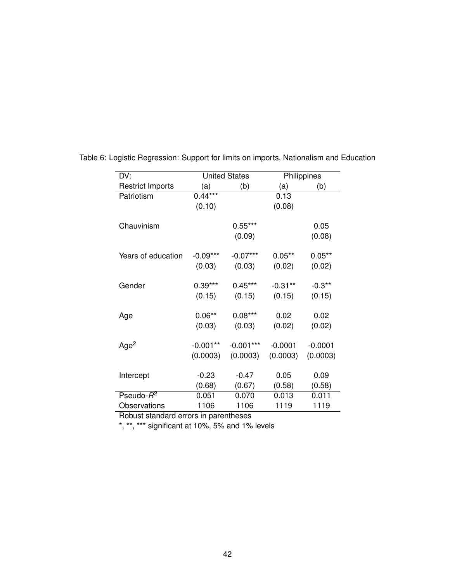| DV:                     |            | <b>United States</b> | Philippines |                |  |
|-------------------------|------------|----------------------|-------------|----------------|--|
| <b>Restrict Imports</b> | (a)        | (b)                  | (a)         | (b)            |  |
| Patriotism              | $0.44***$  |                      | 0.13        |                |  |
|                         | (0.10)     |                      | (0.08)      |                |  |
| Chauvinism              |            | $0.55***$<br>(0.09)  |             | 0.05<br>(0.08) |  |
| Years of education      | $-0.09***$ | $-0.07***$           | $0.05**$    | $0.05**$       |  |
|                         | (0.03)     | (0.03)               | (0.02)      | (0.02)         |  |
|                         |            |                      |             |                |  |
| Gender                  | $0.39***$  | $0.45***$            | $-0.31**$   | $-0.3**$       |  |
|                         | (0.15)     | (0.15)               | (0.15)      | (0.15)         |  |
|                         |            |                      |             |                |  |
| Age                     | $0.06**$   | $0.08***$            | 0.02        | 0.02           |  |
|                         | (0.03)     | (0.03)               | (0.02)      | (0.02)         |  |
|                         |            |                      |             |                |  |
| Age <sup>2</sup>        | $-0.001**$ | $-0.001***$          | $-0.0001$   | $-0.0001$      |  |
|                         | (0.0003)   | (0.0003)             | (0.0003)    | (0.0003)       |  |
|                         |            |                      |             |                |  |
| Intercept               | $-0.23$    | $-0.47$              | 0.05        | 0.09           |  |
|                         | (0.68)     | (0.67)               | (0.58)      | (0.58)         |  |
| Pseudo- $R^2$           | 0.051      | 0.070                | 0.013       | 0.011          |  |
| Observations            | 1106       | 1106                 | 1119        | 1119           |  |

Table 6: Logistic Regression: Support for limits on imports, Nationalism and Education

Robust standard errors in parentheses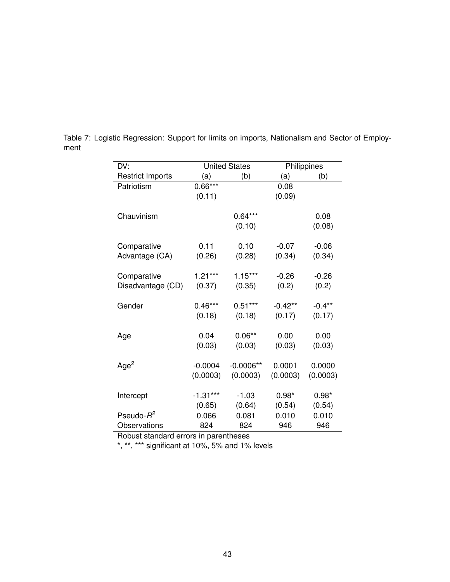| DV:                     |            | <b>United States</b> | Philippines |          |  |
|-------------------------|------------|----------------------|-------------|----------|--|
| <b>Restrict Imports</b> | (a)        | (b)                  | (a)         | (b)      |  |
| Patriotism              | $0.66***$  |                      | 0.08        |          |  |
|                         | (0.11)     |                      | (0.09)      |          |  |
|                         |            |                      |             |          |  |
| Chauvinism              |            | $0.64***$            |             | 0.08     |  |
|                         |            | (0.10)               |             | (0.08)   |  |
|                         |            |                      |             |          |  |
| Comparative             | 0.11       | 0.10                 | $-0.07$     | $-0.06$  |  |
| Advantage (CA)          | (0.26)     | (0.28)               | (0.34)      | (0.34)   |  |
|                         | $1.21***$  | $1.15***$            | $-0.26$     | $-0.26$  |  |
| Comparative             |            |                      |             |          |  |
| Disadvantage (CD)       | (0.37)     | (0.35)               | (0.2)       | (0.2)    |  |
| Gender                  | $0.46***$  | $0.51***$            | $-0.42**$   | $-0.4**$ |  |
|                         | (0.18)     | (0.18)               | (0.17)      | (0.17)   |  |
|                         |            |                      |             |          |  |
| Age                     | 0.04       | $0.06**$             | 0.00        | 0.00     |  |
|                         | (0.03)     | (0.03)               | (0.03)      | (0.03)   |  |
|                         |            |                      |             |          |  |
| Age <sup>2</sup>        | $-0.0004$  | $-0.0006**$          | 0.0001      | 0.0000   |  |
|                         | (0.0003)   | (0.0003)             | (0.0003)    | (0.0003) |  |
|                         |            |                      |             |          |  |
| Intercept               | $-1.31***$ | $-1.03$              | $0.98*$     | $0.98*$  |  |
|                         | (0.65)     | (0.64)               | (0.54)      | (0.54)   |  |
| Pseudo- $R^2$           | 0.066      | 0.081                | 0.010       | 0.010    |  |
| Observations            | 824        | 824                  | 946         | 946      |  |

Table 7: Logistic Regression: Support for limits on imports, Nationalism and Sector of Employment

Robust standard errors in parentheses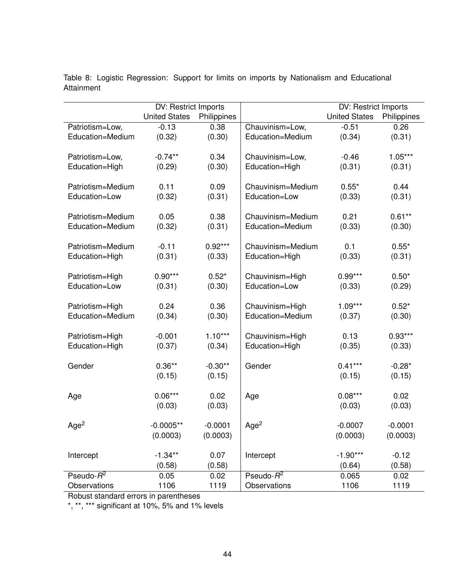|                   | DV: Restrict Imports |             |                   | <b>DV: Restrict Imports</b> |             |
|-------------------|----------------------|-------------|-------------------|-----------------------------|-------------|
|                   | <b>United States</b> | Philippines |                   | <b>United States</b>        | Philippines |
| Patriotism=Low,   | $-0.13$              | 0.38        | Chauvinism=Low,   | $-0.51$                     | 0.26        |
| Education=Medium  | (0.32)               | (0.30)      | Education=Medium  | (0.34)                      | (0.31)      |
|                   |                      |             |                   |                             |             |
| Patriotism=Low,   | $-0.74**$            | 0.34        | Chauvinism=Low,   | $-0.46$                     | $1.05***$   |
| Education=High    | (0.29)               | (0.30)      | Education=High    | (0.31)                      | (0.31)      |
|                   |                      |             |                   |                             |             |
| Patriotism=Medium | 0.11                 | 0.09        | Chauvinism=Medium | $0.55*$                     | 0.44        |
| Education=Low     | (0.32)               | (0.31)      | Education=Low     | (0.33)                      | (0.31)      |
|                   |                      |             |                   |                             |             |
| Patriotism=Medium | 0.05                 | 0.38        | Chauvinism=Medium | 0.21                        | $0.61**$    |
| Education=Medium  | (0.32)               | (0.31)      | Education=Medium  | (0.33)                      | (0.30)      |
|                   |                      |             |                   |                             |             |
| Patriotism=Medium | $-0.11$              | $0.92***$   | Chauvinism=Medium | 0.1                         | $0.55*$     |
| Education=High    | (0.31)               | (0.33)      | Education=High    | (0.33)                      | (0.31)      |
|                   |                      |             |                   |                             |             |
| Patriotism=High   | $0.90***$            | $0.52*$     | Chauvinism=High   | $0.99***$                   | $0.50*$     |
| Education=Low     | (0.31)               | (0.30)      | Education=Low     | (0.33)                      | (0.29)      |
|                   |                      |             |                   |                             |             |
| Patriotism=High   | 0.24                 | 0.36        | Chauvinism=High   | $1.09***$                   | $0.52*$     |
| Education=Medium  | (0.34)               | (0.30)      | Education=Medium  | (0.37)                      | (0.30)      |
|                   |                      |             |                   |                             |             |
| Patriotism=High   | $-0.001$             | $1.10***$   | Chauvinism=High   | 0.13                        | $0.93***$   |
| Education=High    | (0.37)               | (0.34)      | Education=High    | (0.35)                      | (0.33)      |
|                   |                      |             |                   |                             |             |
| Gender            | $0.36**$             | $-0.30**$   | Gender            | $0.41***$                   | $-0.28*$    |
|                   | (0.15)               | (0.15)      |                   | (0.15)                      | (0.15)      |
|                   |                      |             |                   |                             |             |
| Age               | $0.06***$            | 0.02        | Age               | $0.08***$                   | 0.02        |
|                   | (0.03)               | (0.03)      |                   | (0.03)                      | (0.03)      |
|                   |                      |             |                   |                             |             |
| Age <sup>2</sup>  | $-0.0005**$          | $-0.0001$   | Age <sup>2</sup>  | $-0.0007$                   | $-0.0001$   |
|                   | (0.0003)             | (0.0003)    |                   | (0.0003)                    | (0.0003)    |
|                   |                      |             |                   |                             |             |
| Intercept         | $-1.34**$            | 0.07        | Intercept         | $-1.90***$                  | $-0.12$     |
|                   | (0.58)               | (0.58)      |                   | (0.64)                      | (0.58)      |
| Pseudo- $R^2$     | 0.05                 | 0.02        | Pseudo- $R^2$     | 0.065                       | 0.02        |
| Observations      | 1106                 | 1119        | Observations      | 1106                        | 1119        |

Table 8: Logistic Regression: Support for limits on imports by Nationalism and Educational Attainment

Robust standard errors in parentheses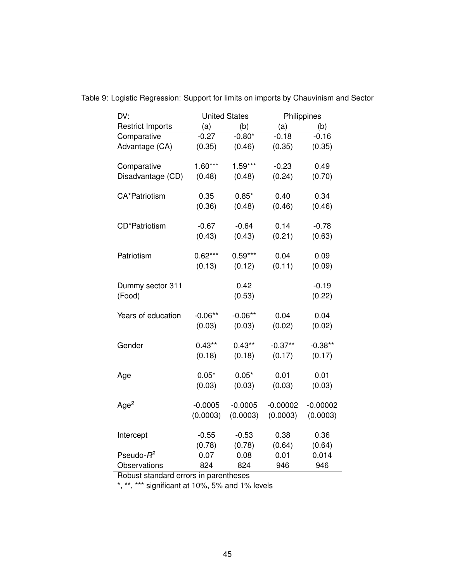| DV:                     | <b>United States</b> |           | Philippines |            |
|-------------------------|----------------------|-----------|-------------|------------|
| <b>Restrict Imports</b> | (a)                  | (b)       | (a)         | (b)        |
| Comparative             | $-0.27$              | $-0.80*$  | $-0.18$     | $-0.16$    |
| Advantage (CA)          | (0.35)               | (0.46)    | (0.35)      | (0.35)     |
|                         | $1.60***$            | $1.59***$ | $-0.23$     | 0.49       |
| Comparative             |                      |           | (0.24)      |            |
| Disadvantage (CD)       | (0.48)               | (0.48)    |             | (0.70)     |
| <b>CA*Patriotism</b>    | 0.35                 | $0.85*$   | 0.40        | 0.34       |
|                         | (0.36)               | (0.48)    | (0.46)      | (0.46)     |
|                         |                      |           |             |            |
| CD*Patriotism           | $-0.67$              | $-0.64$   | 0.14        | $-0.78$    |
|                         | (0.43)               | (0.43)    | (0.21)      | (0.63)     |
| Patriotism              | $0.62***$            | $0.59***$ | 0.04        | 0.09       |
|                         | (0.13)               | (0.12)    | (0.11)      | (0.09)     |
|                         |                      |           |             |            |
| Dummy sector 311        |                      | 0.42      |             | $-0.19$    |
| (Food)                  |                      | (0.53)    |             | (0.22)     |
|                         |                      |           |             |            |
| Years of education      | $-0.06**$            | $-0.06**$ | 0.04        | 0.04       |
|                         | (0.03)               | (0.03)    | (0.02)      | (0.02)     |
| Gender                  | $0.43**$             | $0.43***$ | $-0.37**$   | $-0.38**$  |
|                         | (0.18)               | (0.18)    | (0.17)      | (0.17)     |
|                         |                      |           |             |            |
| Age                     | $0.05*$              | $0.05*$   | 0.01        | 0.01       |
|                         | (0.03)               | (0.03)    | (0.03)      | (0.03)     |
|                         |                      |           |             |            |
| Age <sup>2</sup>        | $-0.0005$            | $-0.0005$ | $-0.00002$  | $-0.00002$ |
|                         | (0.0003)             | (0.0003)  | (0.0003)    | (0.0003)   |
| Intercept               | $-0.55$              | $-0.53$   | 0.38        | 0.36       |
|                         | (0.78)               | (0.78)    | (0.64)      | (0.64)     |
| Pseudo- $R^2$           | 0.07                 | 0.08      | 0.01        | 0.014      |
| Observations            | 824                  | 824       | 946         | 946        |

Table 9: Logistic Regression: Support for limits on imports by Chauvinism and Sector

Robust standard errors in parentheses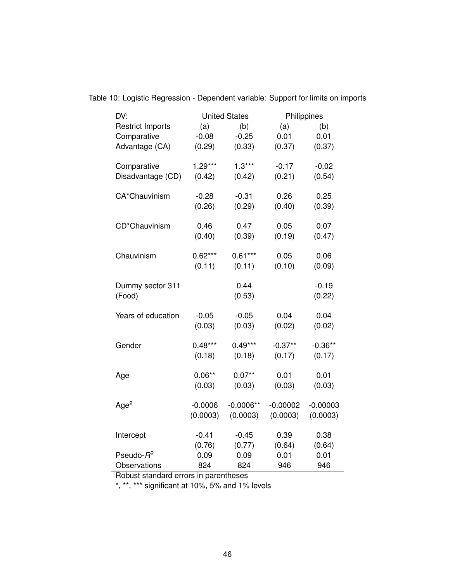| DV:                              |           | <b>United States</b> |                   | Philippines |  |
|----------------------------------|-----------|----------------------|-------------------|-------------|--|
| <b>Restrict Imports</b>          | (a)       | (b)                  | (a)               | (b)         |  |
| Comparative                      | $-0.08$   | $-0.25$              | 0.01              | 0.01        |  |
| Advantage (CA)                   | (0.29)    | (0.33)               | (0.37)            | (0.37)      |  |
|                                  | $1.29***$ | $1.3***$             |                   | $-0.02$     |  |
| Comparative<br>Disadvantage (CD) |           |                      | $-0.17$<br>(0.21) | (0.54)      |  |
|                                  | (0.42)    | (0.42)               |                   |             |  |
| CA*Chauvinism                    | $-0.28$   | $-0.31$              | 0.26              | 0.25        |  |
|                                  | (0.26)    | (0.29)               | (0.40)            | (0.39)      |  |
|                                  |           |                      |                   |             |  |
| CD*Chauvinism                    | 0.46      | 0.47                 | 0.05              | 0.07        |  |
|                                  | (0.40)    | (0.39)               | (0.19)            | (0.47)      |  |
|                                  |           |                      |                   |             |  |
| Chauvinism                       | $0.62***$ | $0.61***$            | 0.05              | 0.06        |  |
|                                  | (0.11)    | (0.11)               | (0.10)            | (0.09)      |  |
| Dummy sector 311                 |           | 0.44                 |                   | $-0.19$     |  |
| (Food)                           |           | (0.53)               |                   | (0.22)      |  |
|                                  |           |                      |                   |             |  |
| Years of education               | $-0.05$   | $-0.05$              | 0.04              | 0.04        |  |
|                                  | (0.03)    | (0.03)               | (0.02)            | (0.02)      |  |
|                                  |           |                      |                   |             |  |
| Gender                           | $0.48***$ | $0.49***$            | $-0.37**$         | $-0.36**$   |  |
|                                  | (0.18)    | (0.18)               | (0.17)            | (0.17)      |  |
| Age                              | $0.06**$  | $0.07**$             | 0.01              | 0.01        |  |
|                                  | (0.03)    | (0.03)               | (0.03)            | (0.03)      |  |
|                                  |           |                      |                   |             |  |
| Age <sup>2</sup>                 | $-0.0006$ | $-0.0006**$          | $-0.00002$        | $-0.00003$  |  |
|                                  | (0.0003)  | (0.0003)             | (0.0003)          | (0.0003)    |  |
|                                  |           |                      |                   |             |  |
| Intercept                        | $-0.41$   | $-0.45$              | 0.39              | 0.38        |  |
|                                  | (0.76)    | (0.77)               | (0.64)            | (0.64)      |  |
| $P$ seudo- $R^2$                 | 0.09      | 0.09                 | 0.01              | 0.01        |  |
| Observations                     | 824       | 824                  | 946               | 946         |  |

Table 10: Logistic Regression - Dependent variable: Support for limits on imports

Robust standard errors in parentheses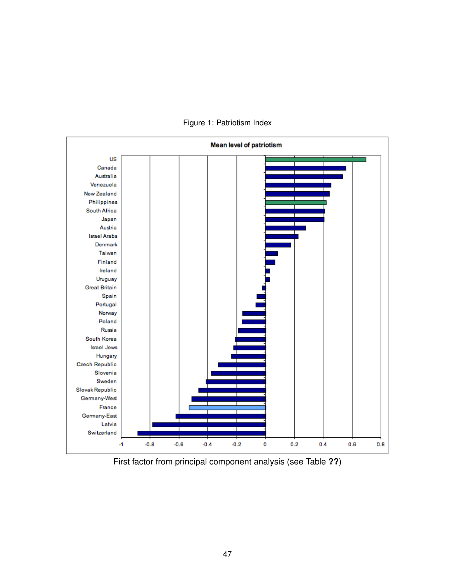

Figure 1: Patriotism Index

First factor from principal component analysis (see Table **??**)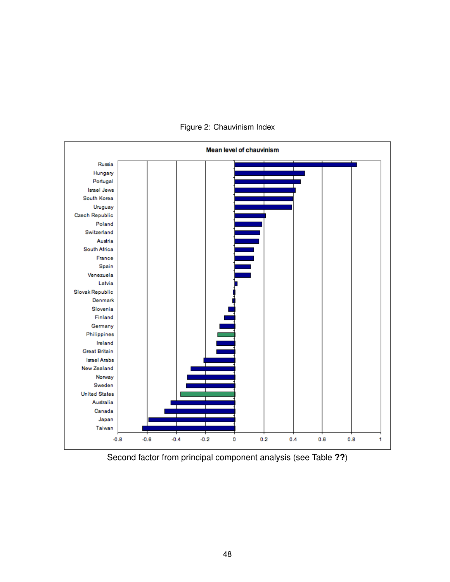

Figure 2: Chauvinism Index

Second factor from principal component analysis (see Table **??**)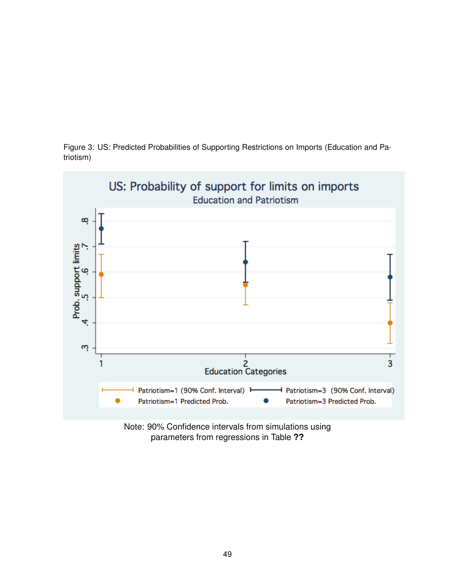

Figure 3: US: Predicted Probabilities of Supporting Restrictions on Imports (Education and Patriotism)

> Note: 90% Confidence intervals from simulations using parameters from regressions in Table **??**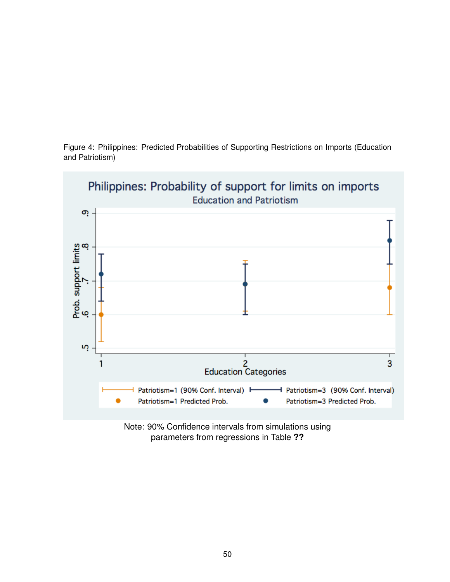

Figure 4: Philippines: Predicted Probabilities of Supporting Restrictions on Imports (Education and Patriotism)

> Note: 90% Confidence intervals from simulations using parameters from regressions in Table **??**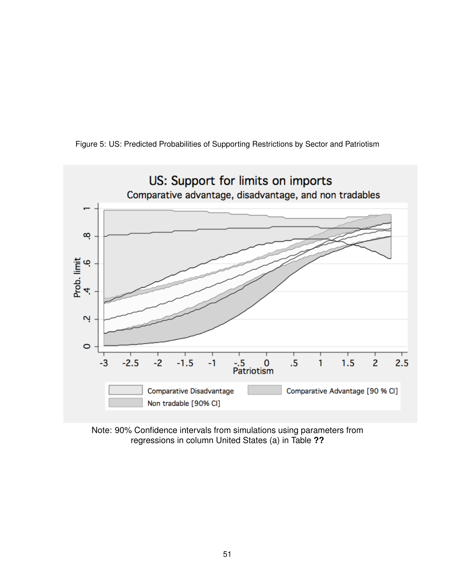

Figure 5: US: Predicted Probabilities of Supporting Restrictions by Sector and Patriotism

Note: 90% Confidence intervals from simulations using parameters from regressions in column United States (a) in Table **??**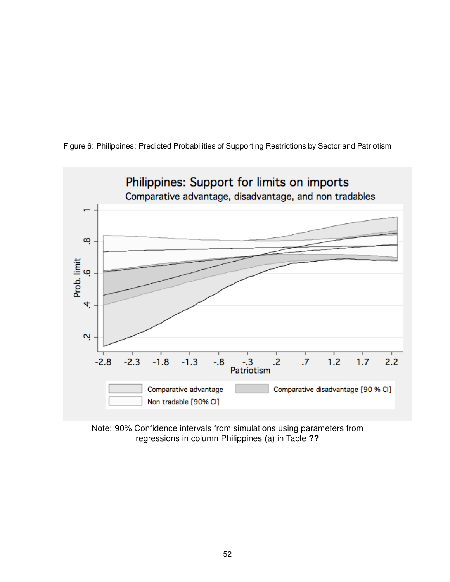

Figure 6: Philippines: Predicted Probabilities of Supporting Restrictions by Sector and Patriotism

Note: 90% Confidence intervals from simulations using parameters from regressions in column Philippines (a) in Table **??**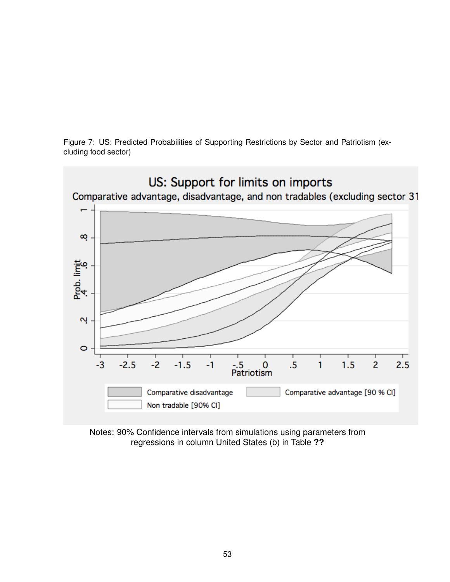Figure 7: US: Predicted Probabilities of Supporting Restrictions by Sector and Patriotism (excluding food sector)



Notes: 90% Confidence intervals from simulations using parameters from regressions in column United States (b) in Table **??**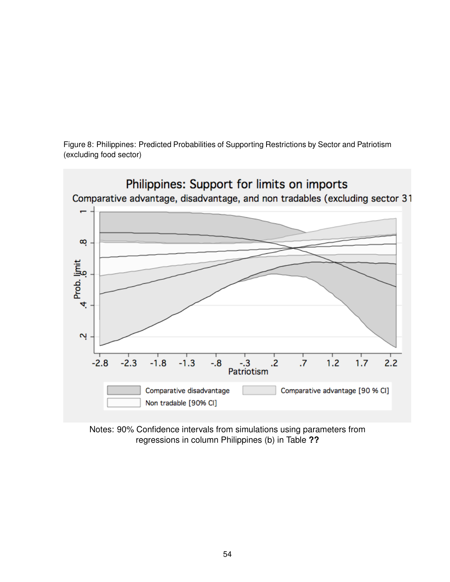Figure 8: Philippines: Predicted Probabilities of Supporting Restrictions by Sector and Patriotism (excluding food sector)



Notes: 90% Confidence intervals from simulations using parameters from regressions in column Philippines (b) in Table **??**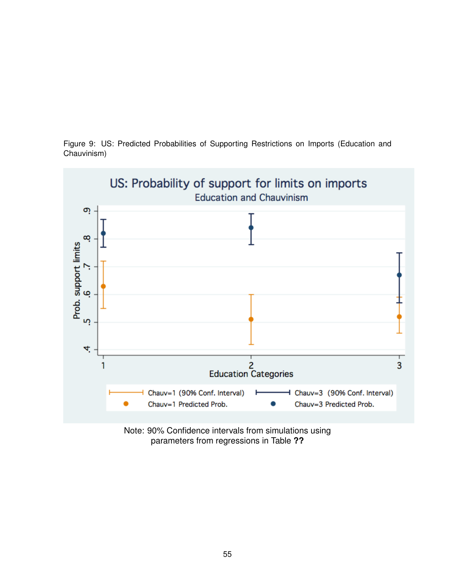

Figure 9: US: Predicted Probabilities of Supporting Restrictions on Imports (Education and Chauvinism)

> Note: 90% Confidence intervals from simulations using parameters from regressions in Table **??**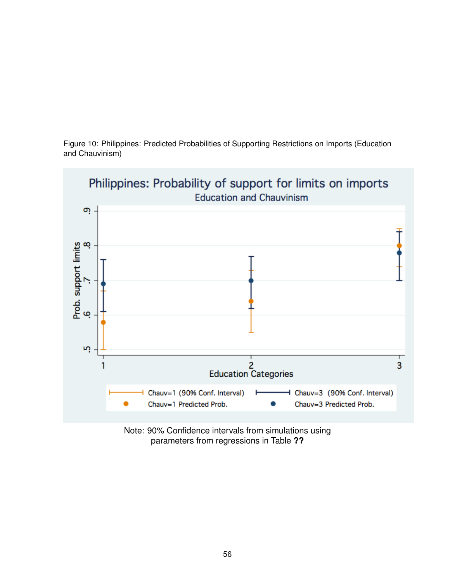

Figure 10: Philippines: Predicted Probabilities of Supporting Restrictions on Imports (Education and Chauvinism)

> Note: 90% Confidence intervals from simulations using parameters from regressions in Table **??**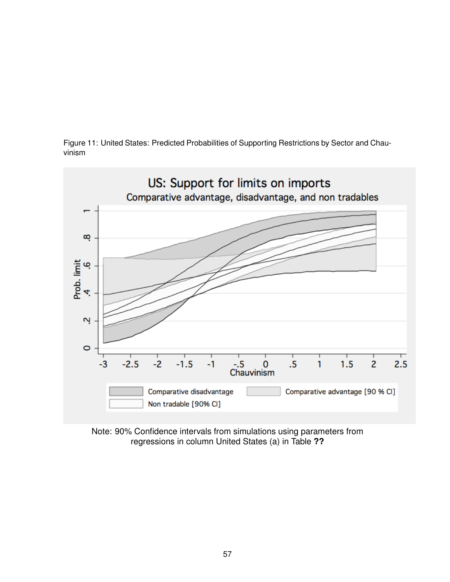



Note: 90% Confidence intervals from simulations using parameters from regressions in column United States (a) in Table **??**